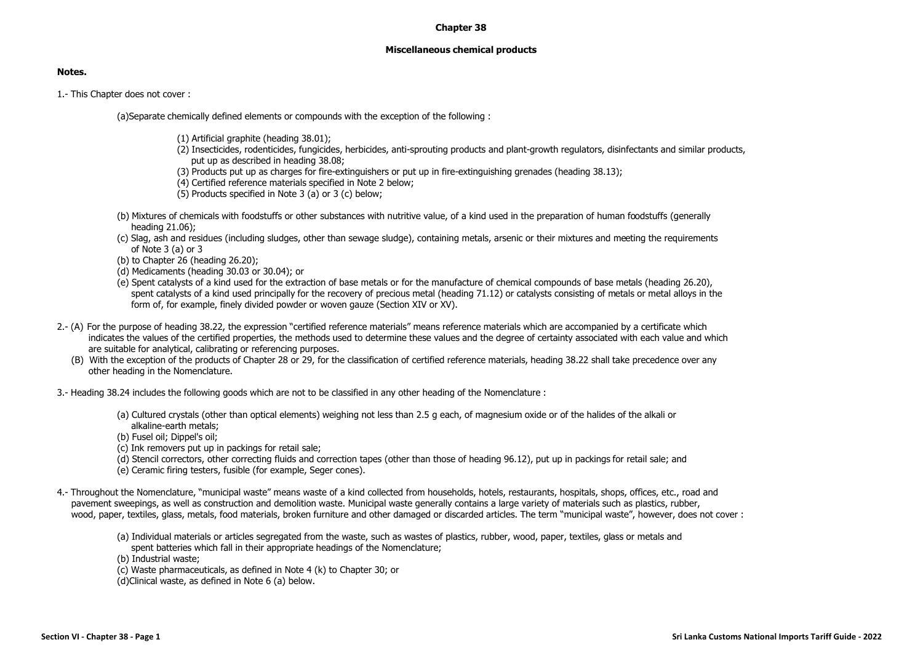## **Chapter 38**

## **Miscellaneous chemical products**

## **Notes.**

1.- This Chapter does not cover :

(a)Separate chemically defined elements or compounds with the exception of the following :

- (1) Artificial graphite (heading 38.01);
- (2) Insecticides, rodenticides, fungicides, herbicides, anti-sprouting products and plant-growth regulators, disinfectants and similar products, put up as described in heading 38.08;
- (3) Products put up as charges for fire-extinguishers or put up in fire-extinguishing grenades (heading 38.13);
- (4) Certified reference materials specified in Note 2 below;
- (5) Products specified in Note 3 (a) or 3 (c) below;
- (b) Mixtures of chemicals with foodstuffs or other substances with nutritive value, of a kind used in the preparation of human foodstuffs (generally heading 21.06);
- (c) Slag, ash and residues (including sludges, other than sewage sludge), containing metals, arsenic or their mixtures and meeting the requirements of Note 3 (a) or 3
- (b) to Chapter 26 (heading 26.20);
- (d) Medicaments (heading 30.03 or 30.04); or
- (e) Spent catalysts of a kind used for the extraction of base metals or for the manufacture of chemical compounds of base metals (heading 26.20), spent catalysts of a kind used principally for the recovery of precious metal (heading 71.12) or catalysts consisting of metals or metal alloys in the form of, for example, finely divided powder or woven gauze (Section XIV or XV).
- 2.- (A) For the purpose of heading 38.22, the expression "certified reference materials" means reference materials which are accompanied by a certificate which indicates the values of the certified properties, the methods used to determine these values and the degree of certainty associated with each value and which are suitable for analytical, calibrating or referencing purposes.
	- (B) With the exception of the products of Chapter 28 or 29, for the classification of certified reference materials, heading 38.22 shall take precedence over any other heading in the Nomenclature.
- 3.- Heading 38.24 includes the following goods which are not to be classified in any other heading of the Nomenclature :
	- (a) Cultured crystals (other than optical elements) weighing not less than 2.5 g each, of magnesium oxide or of the halides of the alkali or alkaline-earth metals;
	- (b) Fusel oil; Dippel's oil;
	- (c) Ink removers put up in packings for retail sale;
	- (d) Stencil correctors, other correcting fluids and correction tapes (other than those of heading 96.12), put up in packings for retail sale; and
	- (e) Ceramic firing testers, fusible (for example, Seger cones).
- 4.- Throughout the Nomenclature, "municipal waste" means waste of a kind collected from households, hotels, restaurants, hospitals, shops, offices, etc., road and pavement sweepings, as well as construction and demolition waste. Municipal waste generally contains a large variety of materials such as plastics, rubber, wood, paper, textiles, glass, metals, food materials, broken furniture and other damaged or discarded articles. The term "municipal waste", however, does not cover :
	- (a) Individual materials or articles segregated from the waste, such as wastes of plastics, rubber, wood, paper, textiles, glass or metals and spent batteries which fall in their appropriate headings of the Nomenclature;

(b) Industrial waste;

- (c) Waste pharmaceuticals, as defined in Note 4 (k) to Chapter 30; or
- (d)Clinical waste, as defined in Note 6 (a) below.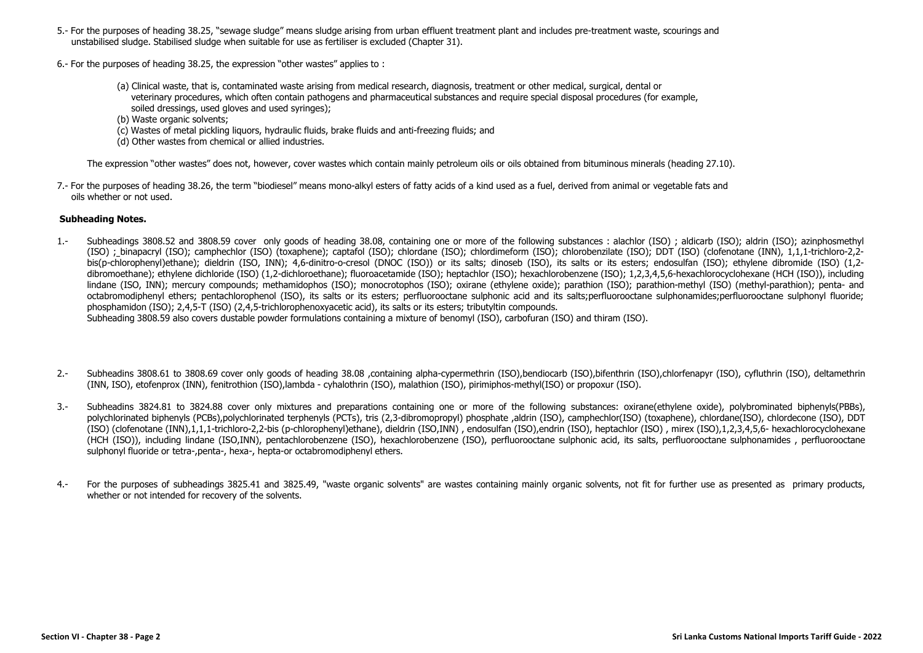- 5.- For the purposes of heading 38.25, "sewage sludge" means sludge arising from urban effluent treatment plant and includes pre-treatment waste, scourings and unstabilised sludge. Stabilised sludge when suitable for use as fertiliser is excluded (Chapter 31).
- 6.- For the purposes of heading 38.25, the expression "other wastes" applies to :
	- (a) Clinical waste, that is, contaminated waste arising from medical research, diagnosis, treatment or other medical, surgical, dental or veterinary procedures, which often contain pathogens and pharmaceutical substances and require special disposal procedures (for example, soiled dressings, used gloves and used syringes);
	- (b) Waste organic solvents;
	- (c) Wastes of metal pickling liquors, hydraulic fluids, brake fluids and anti-freezing fluids; and
	- (d) Other wastes from chemical or allied industries.

The expression "other wastes" does not, however, cover wastes which contain mainly petroleum oils or oils obtained from bituminous minerals (heading 27.10).

7.- For the purposes of heading 38.26, the term "biodiesel" means mono-alkyl esters of fatty acids of a kind used as a fuel, derived from animal or vegetable fats and oils whether or not used.

## **Subheading Notes.**

- 1.- Subheadings 3808.52 and 3808.59 cover only goods of heading 38.08, containing one or more of the following substances : alachlor (ISO) ; aldicarb (ISO); aldrin (ISO); azinphosmethyl (ISO) ; binapacryl (ISO); camphechlor (ISO) (toxaphene); captafol (ISO); chlordane (ISO); chlordimeform (ISO); chlorobenzilate (ISO); DDT (ISO) (clofenotane (INN), 1,1,1-trichloro-2,2 bis(p-chlorophenyl)ethane); dieldrin (ISO, INN); 4,6-dinitro-o-cresol (DNOC (ISO)) or its salts; dinoseb (ISO), its salts or its esters; endosulfan (ISO); ethylene dibromide (ISO) (1,2 dibromoethane); ethylene dichloride (ISO) (1,2-dichloroethane); fluoroacetamide (ISO); heptachlor (ISO); hexachlorobenzene (ISO); 1,2,3,4,5,6-hexachlorocyclohexane (HCH (ISO)), including lindane (ISO, INN); mercury compounds; methamidophos (ISO); monocrotophos (ISO); oxirane (ethylene oxide); parathion (ISO); parathion-methyl (ISO) (methyl-parathion); penta- and octabromodiphenyl ethers; pentachlorophenol (ISO), its salts or its esters; perfluorooctane sulphonic acid and its salts;perfluorooctane sulphonamides;perfluorooctane sulphonyl fluoride; phosphamidon (ISO); 2,4,5-T (ISO) (2,4,5-trichlorophenoxyacetic acid), its salts or its esters; tributyltin compounds. Subheading 3808.59 also covers dustable powder formulations containing a mixture of benomyl (ISO), carbofuran (ISO) and thiram (ISO).
- 2.- Subheadins 3808.61 to 3808.69 cover only goods of heading 38.08 ,containing alpha-cypermethrin (ISO),bendiocarb (ISO),bifenthrin (ISO),chlorfenapyr (ISO), cyfluthrin (ISO), deltamethrin (INN, ISO), etofenprox (INN), fenitrothion (ISO),lambda - cyhalothrin (ISO), malathion (ISO), pirimiphos-methyl(ISO) or propoxur (ISO).
- 3.- Subheadins 3824.81 to 3824.88 cover only mixtures and preparations containing one or more of the following substances: oxirane(ethylene oxide), polybrominated biphenyls(PBBs), polychlorinated biphenyls (PCBs),polychlorinated terphenyls (PCTs), tris (2,3-dibromopropyl) phosphate ,aldrin (ISO), camphechlor(ISO) (toxaphene), chlordane(ISO), chlordecone (ISO), DDT (ISO) (clofenotane (INN),1,1,1-trichloro-2,2-bis (p-chlorophenyl)ethane), dieldrin (ISO,INN) , endosulfan (ISO),endrin (ISO), heptachlor (ISO) , mirex (ISO),1,2,3,4,5,6- hexachlorocyclohexane (HCH (ISO)), including lindane (ISO,INN), pentachlorobenzene (ISO), hexachlorobenzene (ISO), perfluorooctane sulphonic acid, its salts, perfluorooctane sulphonamides , perfluorooctane sulphonyl fluoride or tetra-,penta-, hexa-, hepta-or octabromodiphenyl ethers.
- 4.- For the purposes of subheadings 3825.41 and 3825.49, "waste organic solvents" are wastes containing mainly organic solvents, not fit for further use as presented as primary products, whether or not intended for recovery of the solvents.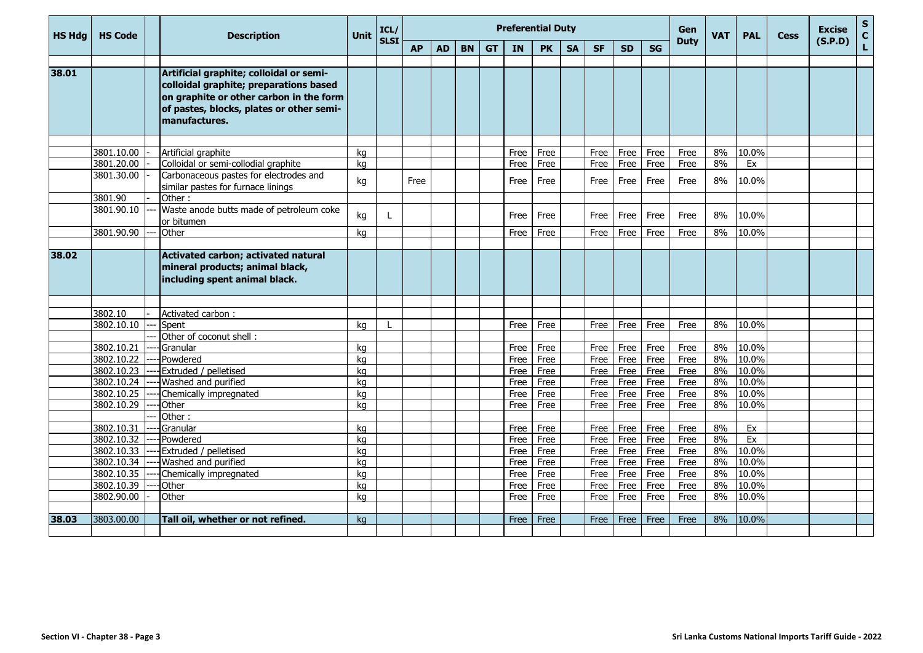| <b>HS Hdg</b> | <b>HS Code</b>           | <b>Description</b>                                                                                                                                                                        | <b>Unit</b> | ICL/        |           |           |           |           |           | <b>Preferential Duty</b> |           |           |           |           | <b>Gen</b>  | <b>VAT</b> | <b>PAL</b> | <b>Cess</b> | <b>Excise</b> | ${\sf s}$<br>$\mathbf C$ |
|---------------|--------------------------|-------------------------------------------------------------------------------------------------------------------------------------------------------------------------------------------|-------------|-------------|-----------|-----------|-----------|-----------|-----------|--------------------------|-----------|-----------|-----------|-----------|-------------|------------|------------|-------------|---------------|--------------------------|
|               |                          |                                                                                                                                                                                           |             | <b>SLSI</b> | <b>AP</b> | <b>AD</b> | <b>BN</b> | <b>GT</b> | <b>IN</b> | <b>PK</b>                | <b>SA</b> | <b>SF</b> | <b>SD</b> | <b>SG</b> | <b>Duty</b> |            |            |             | (S.P.D)       | $\mathbf L$              |
|               |                          |                                                                                                                                                                                           |             |             |           |           |           |           |           |                          |           |           |           |           |             |            |            |             |               |                          |
| 38.01         |                          | Artificial graphite; colloidal or semi-<br>colloidal graphite; preparations based<br>on graphite or other carbon in the form<br>of pastes, blocks, plates or other semi-<br>manufactures. |             |             |           |           |           |           |           |                          |           |           |           |           |             |            |            |             |               |                          |
|               |                          |                                                                                                                                                                                           |             |             |           |           |           |           |           |                          |           |           |           |           |             |            |            |             |               |                          |
|               | 3801.10.00               | Artificial graphite                                                                                                                                                                       | kg          |             |           |           |           |           | Free      | Free                     |           | Free      | Free      | Free      | Free        | 8%         | 10.0%      |             |               |                          |
|               | 3801.20.00<br>3801.30.00 | Colloidal or semi-collodial graphite                                                                                                                                                      | kg          |             |           |           |           |           | Free      | Free                     |           | Free      | Free      | Free      | Free        | 8%         | Ex         |             |               |                          |
|               |                          | Carbonaceous pastes for electrodes and<br>similar pastes for furnace linings                                                                                                              | kg          |             | Free      |           |           |           | Free      | Free                     |           | Free      | Free      | Free      | Free        | 8%         | 10.0%      |             |               |                          |
|               | 3801.90                  | Other:                                                                                                                                                                                    |             |             |           |           |           |           |           |                          |           |           |           |           |             |            |            |             |               |                          |
|               | 3801.90.10               | Waste anode butts made of petroleum coke<br>or bitumen                                                                                                                                    | kg          |             |           |           |           |           | Free      | Free                     |           | Free      | Free      | Free      | Free        | 8%         | 10.0%      |             |               |                          |
|               | 3801.90.90               | Other                                                                                                                                                                                     | kg          |             |           |           |           |           | Free      | Free                     |           | Free      | Free      | Free      | Free        | 8%         | 10.0%      |             |               |                          |
|               |                          |                                                                                                                                                                                           |             |             |           |           |           |           |           |                          |           |           |           |           |             |            |            |             |               |                          |
| 38.02         |                          | Activated carbon; activated natural<br>mineral products; animal black,<br>including spent animal black.                                                                                   |             |             |           |           |           |           |           |                          |           |           |           |           |             |            |            |             |               |                          |
|               | 3802.10                  | Activated carbon:                                                                                                                                                                         |             |             |           |           |           |           |           |                          |           |           |           |           |             |            |            |             |               |                          |
|               | 3802.10.10               | Spent                                                                                                                                                                                     | ka          |             |           |           |           |           | Free      | Free                     |           | Free      | Free      | Free      | Free        | 8%         | 10.0%      |             |               |                          |
|               |                          | Other of coconut shell:                                                                                                                                                                   |             |             |           |           |           |           |           |                          |           |           |           |           |             |            |            |             |               |                          |
|               | 3802.10.21               | Granular                                                                                                                                                                                  | ka          |             |           |           |           |           | Free      | Free                     |           | Free      | Free      | Free      | Free        | 8%         | 10.0%      |             |               |                          |
|               | 3802.10.22               | Powdered                                                                                                                                                                                  | kg          |             |           |           |           |           | Free      | Free                     |           | Free      | Free      | Free      | Free        | 8%         | 10.0%      |             |               |                          |
|               | 3802.10.23               | <b>Extruded / pelletised</b>                                                                                                                                                              | ka          |             |           |           |           |           | Free      | Free                     |           | Free      | Free      | Free      | Free        | 8%         | 10.0%      |             |               |                          |
|               | 3802.10.24               | --- Washed and purified                                                                                                                                                                   | kg          |             |           |           |           |           | Free      | Free                     |           | Free      | Free      | Free      | Free        | 8%         | 10.0%      |             |               |                          |
|               | 3802.10.25               | Chemically impregnated                                                                                                                                                                    | kg          |             |           |           |           |           | Free      | Free                     |           | Free      | Free      | Free      | Free        | 8%         | 10.0%      |             |               |                          |
|               | 3802.10.29               | Other                                                                                                                                                                                     | kg          |             |           |           |           |           | Free      | Free                     |           | Free      | Free      | Free      | Free        | 8%         | 10.0%      |             |               |                          |
|               |                          | Other:                                                                                                                                                                                    |             |             |           |           |           |           |           |                          |           |           |           |           |             |            |            |             |               |                          |
|               | 3802.10.31               | Granular                                                                                                                                                                                  | kg          |             |           |           |           |           | Free      | Free                     |           | Free      | Free      | Free      | Free        | 8%         | Ex         |             |               |                          |
|               | 3802.10.32               | Powdered                                                                                                                                                                                  | kg          |             |           |           |           |           | Free      | Free                     |           | Free      | Free      | Free      | Free        | 8%         | Ex         |             |               |                          |
|               | 3802.10.33               | Extruded / pelletised                                                                                                                                                                     | kg          |             |           |           |           |           | Free      | Free                     |           | Free      | Free      | Free      | Free        | 8%         | 10.0%      |             |               |                          |
|               | 3802.10.34               | Washed and purified                                                                                                                                                                       | kg          |             |           |           |           |           | Free      | Free                     |           | Free      | Free      | Free      | Free        | 8%         | 10.0%      |             |               |                          |
|               | 3802.10.35               | Chemically impregnated                                                                                                                                                                    | kg          |             |           |           |           |           | Free      | Free                     |           | Free      | Free      | Free      | Free        | 8%         | 10.0%      |             |               |                          |
|               | 3802.10.39               | Other                                                                                                                                                                                     | kg          |             |           |           |           |           | Free      | Free                     |           | Free      | Free      | Free      | Free        | 8%         | 10.0%      |             |               |                          |
|               | 3802.90.00               | Other                                                                                                                                                                                     | kg          |             |           |           |           |           | Free      | Free                     |           | Free      | Free      | Free      | Free        | 8%         | 10.0%      |             |               |                          |
| 38.03         | 3803.00.00               | Tall oil, whether or not refined.                                                                                                                                                         | kg          |             |           |           |           |           | Free      | Free                     |           | Free      | Free      | Free      | Free        | 8%         | 10.0%      |             |               |                          |
|               |                          |                                                                                                                                                                                           |             |             |           |           |           |           |           |                          |           |           |           |           |             |            |            |             |               |                          |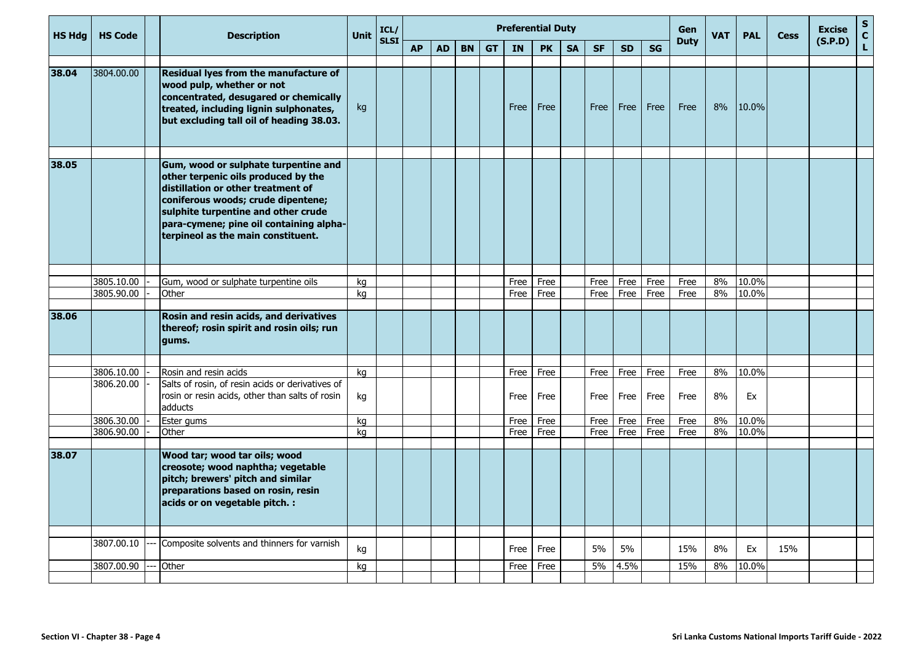| (S.P.D)<br>$\mathbf{L}$<br><b>GT</b><br><b>SG</b><br><b>AP</b><br><b>AD</b><br><b>BN</b><br><b>IN</b><br><b>PK</b><br><b>SF</b><br><b>SD</b><br><b>SA</b><br>3804.00.00<br>Residual lyes from the manufacture of<br>wood pulp, whether or not<br>concentrated, desugared or chemically<br>8%<br>10.0%<br>Free<br>Free<br>Free<br>Free<br>Free<br>Free<br>treated, including lignin sulphonates,<br>kg<br>but excluding tall oil of heading 38.03.<br>38.05<br>Gum, wood or sulphate turpentine and<br>other terpenic oils produced by the<br>distillation or other treatment of<br>coniferous woods; crude dipentene;<br>sulphite turpentine and other crude<br>para-cymene; pine oil containing alpha-<br>terpineol as the main constituent.<br>3805.10.00<br>8%<br>10.0%<br>Gum, wood or sulphate turpentine oils<br>kg<br>Free<br>Free<br>Free<br>Free<br>Free<br>Free<br>3805.90.00<br>8%<br>10.0%<br>Other<br>ka<br>Free<br>Free<br>Free<br>Free<br>Free<br>Free<br>Rosin and resin acids, and derivatives<br>thereof; rosin spirit and rosin oils; run<br>gums.<br>8%<br>10.0%<br>3806.10.00<br>Rosin and resin acids<br>Free<br>Free<br>Free<br>Free<br>Free<br>kg<br>Free<br>Salts of rosin, of resin acids or derivatives of<br>3806.20.00<br>rosin or resin acids, other than salts of rosin<br>Free<br>Free<br>Free<br>Free<br>Free<br>8%<br>Ex<br>kq<br>Free<br>adducts<br>3806.30.00<br>10.0%<br>Ester gums<br>Free<br>Free<br>8%<br>Free<br>Free<br>Free<br>Free<br>kg<br>10.0%<br>3806.90.00<br>Other<br>Free<br>8%<br>kg<br>Free<br>Free<br>Free<br>Free<br>Free<br>Wood tar; wood tar oils; wood<br>creosote; wood naphtha; vegetable<br>pitch; brewers' pitch and similar<br>preparations based on rosin, resin<br>acids or on vegetable pitch. :<br>3807.00.10<br>Composite solvents and thinners for varnish<br>5%<br>5%<br>15%<br>8%<br>Ex<br>15%<br>kg<br>Free<br>Free<br>5%<br>4.5%<br>15%<br>8%<br>10.0%<br>3807.00.90<br>Other<br>Free<br>kg<br>Free | <b>HS Hdg</b> | <b>HS Code</b> | <b>Description</b> | Unit | ICL/<br><b>SLSI</b> |  |  | <b>Preferential Duty</b> |  |  | <b>Gen</b><br><b>Duty</b> | <b>VAT</b> | <b>PAL</b> | <b>Cess</b> | <b>Excise</b> | ${\sf s}$<br>$\mathbf{C}$ |
|-------------------------------------------------------------------------------------------------------------------------------------------------------------------------------------------------------------------------------------------------------------------------------------------------------------------------------------------------------------------------------------------------------------------------------------------------------------------------------------------------------------------------------------------------------------------------------------------------------------------------------------------------------------------------------------------------------------------------------------------------------------------------------------------------------------------------------------------------------------------------------------------------------------------------------------------------------------------------------------------------------------------------------------------------------------------------------------------------------------------------------------------------------------------------------------------------------------------------------------------------------------------------------------------------------------------------------------------------------------------------------------------------------------------------------------------------------------------------------------------------------------------------------------------------------------------------------------------------------------------------------------------------------------------------------------------------------------------------------------------------------------------------------------------------------------------------------------------------------------------------------------------------------------------------------------------------------------------------------|---------------|----------------|--------------------|------|---------------------|--|--|--------------------------|--|--|---------------------------|------------|------------|-------------|---------------|---------------------------|
|                                                                                                                                                                                                                                                                                                                                                                                                                                                                                                                                                                                                                                                                                                                                                                                                                                                                                                                                                                                                                                                                                                                                                                                                                                                                                                                                                                                                                                                                                                                                                                                                                                                                                                                                                                                                                                                                                                                                                                               |               |                |                    |      |                     |  |  |                          |  |  |                           |            |            |             |               |                           |
|                                                                                                                                                                                                                                                                                                                                                                                                                                                                                                                                                                                                                                                                                                                                                                                                                                                                                                                                                                                                                                                                                                                                                                                                                                                                                                                                                                                                                                                                                                                                                                                                                                                                                                                                                                                                                                                                                                                                                                               | 38.04         |                |                    |      |                     |  |  |                          |  |  |                           |            |            |             |               |                           |
|                                                                                                                                                                                                                                                                                                                                                                                                                                                                                                                                                                                                                                                                                                                                                                                                                                                                                                                                                                                                                                                                                                                                                                                                                                                                                                                                                                                                                                                                                                                                                                                                                                                                                                                                                                                                                                                                                                                                                                               |               |                |                    |      |                     |  |  |                          |  |  |                           |            |            |             |               |                           |
|                                                                                                                                                                                                                                                                                                                                                                                                                                                                                                                                                                                                                                                                                                                                                                                                                                                                                                                                                                                                                                                                                                                                                                                                                                                                                                                                                                                                                                                                                                                                                                                                                                                                                                                                                                                                                                                                                                                                                                               |               |                |                    |      |                     |  |  |                          |  |  |                           |            |            |             |               |                           |
|                                                                                                                                                                                                                                                                                                                                                                                                                                                                                                                                                                                                                                                                                                                                                                                                                                                                                                                                                                                                                                                                                                                                                                                                                                                                                                                                                                                                                                                                                                                                                                                                                                                                                                                                                                                                                                                                                                                                                                               |               |                |                    |      |                     |  |  |                          |  |  |                           |            |            |             |               |                           |
|                                                                                                                                                                                                                                                                                                                                                                                                                                                                                                                                                                                                                                                                                                                                                                                                                                                                                                                                                                                                                                                                                                                                                                                                                                                                                                                                                                                                                                                                                                                                                                                                                                                                                                                                                                                                                                                                                                                                                                               |               |                |                    |      |                     |  |  |                          |  |  |                           |            |            |             |               |                           |
|                                                                                                                                                                                                                                                                                                                                                                                                                                                                                                                                                                                                                                                                                                                                                                                                                                                                                                                                                                                                                                                                                                                                                                                                                                                                                                                                                                                                                                                                                                                                                                                                                                                                                                                                                                                                                                                                                                                                                                               | 38.06         |                |                    |      |                     |  |  |                          |  |  |                           |            |            |             |               |                           |
|                                                                                                                                                                                                                                                                                                                                                                                                                                                                                                                                                                                                                                                                                                                                                                                                                                                                                                                                                                                                                                                                                                                                                                                                                                                                                                                                                                                                                                                                                                                                                                                                                                                                                                                                                                                                                                                                                                                                                                               |               |                |                    |      |                     |  |  |                          |  |  |                           |            |            |             |               |                           |
|                                                                                                                                                                                                                                                                                                                                                                                                                                                                                                                                                                                                                                                                                                                                                                                                                                                                                                                                                                                                                                                                                                                                                                                                                                                                                                                                                                                                                                                                                                                                                                                                                                                                                                                                                                                                                                                                                                                                                                               |               |                |                    |      |                     |  |  |                          |  |  |                           |            |            |             |               |                           |
|                                                                                                                                                                                                                                                                                                                                                                                                                                                                                                                                                                                                                                                                                                                                                                                                                                                                                                                                                                                                                                                                                                                                                                                                                                                                                                                                                                                                                                                                                                                                                                                                                                                                                                                                                                                                                                                                                                                                                                               |               |                |                    |      |                     |  |  |                          |  |  |                           |            |            |             |               |                           |
|                                                                                                                                                                                                                                                                                                                                                                                                                                                                                                                                                                                                                                                                                                                                                                                                                                                                                                                                                                                                                                                                                                                                                                                                                                                                                                                                                                                                                                                                                                                                                                                                                                                                                                                                                                                                                                                                                                                                                                               |               |                |                    |      |                     |  |  |                          |  |  |                           |            |            |             |               |                           |
|                                                                                                                                                                                                                                                                                                                                                                                                                                                                                                                                                                                                                                                                                                                                                                                                                                                                                                                                                                                                                                                                                                                                                                                                                                                                                                                                                                                                                                                                                                                                                                                                                                                                                                                                                                                                                                                                                                                                                                               |               |                |                    |      |                     |  |  |                          |  |  |                           |            |            |             |               |                           |
|                                                                                                                                                                                                                                                                                                                                                                                                                                                                                                                                                                                                                                                                                                                                                                                                                                                                                                                                                                                                                                                                                                                                                                                                                                                                                                                                                                                                                                                                                                                                                                                                                                                                                                                                                                                                                                                                                                                                                                               | 38.07         |                |                    |      |                     |  |  |                          |  |  |                           |            |            |             |               |                           |
|                                                                                                                                                                                                                                                                                                                                                                                                                                                                                                                                                                                                                                                                                                                                                                                                                                                                                                                                                                                                                                                                                                                                                                                                                                                                                                                                                                                                                                                                                                                                                                                                                                                                                                                                                                                                                                                                                                                                                                               |               |                |                    |      |                     |  |  |                          |  |  |                           |            |            |             |               |                           |
|                                                                                                                                                                                                                                                                                                                                                                                                                                                                                                                                                                                                                                                                                                                                                                                                                                                                                                                                                                                                                                                                                                                                                                                                                                                                                                                                                                                                                                                                                                                                                                                                                                                                                                                                                                                                                                                                                                                                                                               |               |                |                    |      |                     |  |  |                          |  |  |                           |            |            |             |               |                           |
|                                                                                                                                                                                                                                                                                                                                                                                                                                                                                                                                                                                                                                                                                                                                                                                                                                                                                                                                                                                                                                                                                                                                                                                                                                                                                                                                                                                                                                                                                                                                                                                                                                                                                                                                                                                                                                                                                                                                                                               |               |                |                    |      |                     |  |  |                          |  |  |                           |            |            |             |               |                           |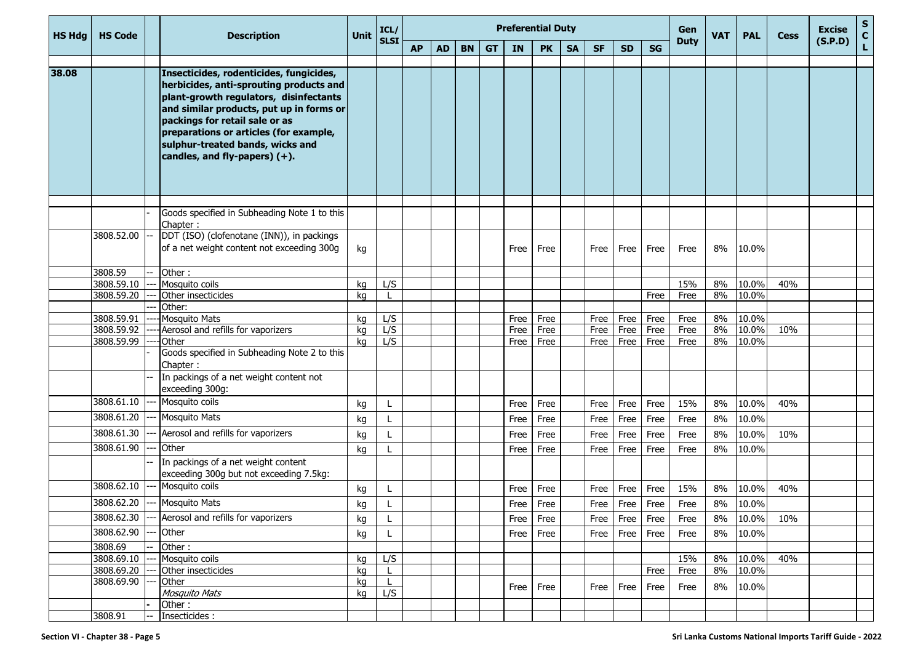| <b>HS Hdg</b> | <b>HS Code</b>           | <b>Description</b>                                                                                                                                                                                                                                                                                                           | <b>Unit</b> | ICL/        |           |           |           |           |              | <b>Preferential Duty</b> |           |              |              |              | Gen          | <b>VAT</b> | <b>PAL</b>     | <b>Cess</b> | <b>Excise</b> | $\mathbf{s}$<br>$\mathbf{C}$ |
|---------------|--------------------------|------------------------------------------------------------------------------------------------------------------------------------------------------------------------------------------------------------------------------------------------------------------------------------------------------------------------------|-------------|-------------|-----------|-----------|-----------|-----------|--------------|--------------------------|-----------|--------------|--------------|--------------|--------------|------------|----------------|-------------|---------------|------------------------------|
|               |                          |                                                                                                                                                                                                                                                                                                                              |             | <b>SLSI</b> | <b>AP</b> | <b>AD</b> | <b>BN</b> | <b>GT</b> | <b>IN</b>    | <b>PK</b>                | <b>SA</b> | <b>SF</b>    | <b>SD</b>    | <b>SG</b>    | <b>Duty</b>  |            |                |             | (S.P.D)       | L                            |
| 38.08         |                          | Insecticides, rodenticides, fungicides,<br>herbicides, anti-sprouting products and<br>plant-growth regulators, disinfectants<br>and similar products, put up in forms or<br>packings for retail sale or as<br>preparations or articles (for example,<br>sulphur-treated bands, wicks and<br>candles, and fly-papers) $(+)$ . |             |             |           |           |           |           |              |                          |           |              |              |              |              |            |                |             |               |                              |
|               |                          | Goods specified in Subheading Note 1 to this                                                                                                                                                                                                                                                                                 |             |             |           |           |           |           |              |                          |           |              |              |              |              |            |                |             |               |                              |
|               |                          | Chapter:                                                                                                                                                                                                                                                                                                                     |             |             |           |           |           |           |              |                          |           |              |              |              |              |            |                |             |               |                              |
|               | 3808.52.00               | DDT (ISO) (clofenotane (INN)), in packings<br>of a net weight content not exceeding 300g                                                                                                                                                                                                                                     | kg          |             |           |           |           |           | Free         | Free                     |           | Free         | Free         | Free         | Free         | 8%         | 10.0%          |             |               |                              |
|               | 3808.59                  | Other:                                                                                                                                                                                                                                                                                                                       |             |             |           |           |           |           |              |                          |           |              |              |              |              |            |                |             |               |                              |
|               | 3808.59.10               | Mosquito coils                                                                                                                                                                                                                                                                                                               | kg          | L/S         |           |           |           |           |              |                          |           |              |              |              | 15%          | 8%         | 10.0%          | 40%         |               |                              |
|               | 3808.59.20               | Other insecticides                                                                                                                                                                                                                                                                                                           | kg          |             |           |           |           |           |              |                          |           |              |              | Free         | Free         | 8%         | 10.0%          |             |               |                              |
|               |                          | Other:                                                                                                                                                                                                                                                                                                                       |             |             |           |           |           |           |              |                          |           |              |              |              |              |            |                |             |               |                              |
|               | 3808.59.91<br>3808.59.92 | <b>Mosquito Mats</b><br>Aerosol and refills for vaporizers                                                                                                                                                                                                                                                                   | kg          | L/S<br>L/S  |           |           |           |           | Free         | Free                     |           | Free         | Free         | Free         | Free         | 8%<br>8%   | 10.0%<br>10.0% | 10%         |               |                              |
|               | 3808.59.99               | Other                                                                                                                                                                                                                                                                                                                        | kg<br>ka    | L/S         |           |           |           |           | Free<br>Free | Free<br>Free             |           | Free<br>Free | Free<br>Free | Free<br>Free | Free<br>Free | 8%         | 10.0%          |             |               |                              |
|               |                          | Goods specified in Subheading Note 2 to this<br>Chapter:                                                                                                                                                                                                                                                                     |             |             |           |           |           |           |              |                          |           |              |              |              |              |            |                |             |               |                              |
|               |                          | In packings of a net weight content not<br>exceeding 300g:                                                                                                                                                                                                                                                                   |             |             |           |           |           |           |              |                          |           |              |              |              |              |            |                |             |               |                              |
|               | 3808.61.10               | Mosquito coils                                                                                                                                                                                                                                                                                                               | kg          |             |           |           |           |           | Free         | Free                     |           | Free         | Free         | Free         | 15%          | 8%         | 10.0%          | 40%         |               |                              |
|               | 3808.61.20               | <b>Mosquito Mats</b>                                                                                                                                                                                                                                                                                                         | kg          |             |           |           |           |           | Free         | Free                     |           | Free         | Free         | Free         | Free         | 8%         | 10.0%          |             |               |                              |
|               | 3808.61.30               | Aerosol and refills for vaporizers                                                                                                                                                                                                                                                                                           | kg          |             |           |           |           |           | Free         | Free                     |           | Free         | Free         | Free         | Free         | 8%         | 10.0%          | 10%         |               |                              |
|               | 3808.61.90               | Other                                                                                                                                                                                                                                                                                                                        | kg          |             |           |           |           |           | Free         | Free                     |           | Free         | Free         | Free         | Free         | 8%         | 10.0%          |             |               |                              |
|               |                          | In packings of a net weight content<br>exceeding 300g but not exceeding 7.5kg:                                                                                                                                                                                                                                               |             |             |           |           |           |           |              |                          |           |              |              |              |              |            |                |             |               |                              |
|               | 3808.62.10               | Mosquito coils                                                                                                                                                                                                                                                                                                               | kg          |             |           |           |           |           | Free         | Free                     |           | Free         | Free         | Free         | 15%          | 8%         | 10.0%          | 40%         |               |                              |
|               | 3808.62.20               | <b>Mosquito Mats</b>                                                                                                                                                                                                                                                                                                         | kg          |             |           |           |           |           | Free         | Free                     |           | Free         | Free         | Free         | Free         | 8%         | 10.0%          |             |               |                              |
|               | 3808.62.30               | Aerosol and refills for vaporizers                                                                                                                                                                                                                                                                                           | kg          | L           |           |           |           |           | Free         | Free                     |           | Free         | Free         | Free         | Free         | 8%         | 10.0%          | 10%         |               |                              |
|               | 3808.62.90               | Other                                                                                                                                                                                                                                                                                                                        | kg          | L           |           |           |           |           | Free         | Free                     |           | Free         | Free         | Free         | Free         | 8%         | 10.0%          |             |               |                              |
|               | 3808.69                  | Other:                                                                                                                                                                                                                                                                                                                       |             |             |           |           |           |           |              |                          |           |              |              |              |              |            |                |             |               |                              |
|               | 3808.69.10               | Mosquito coils                                                                                                                                                                                                                                                                                                               | kg          | L/S         |           |           |           |           |              |                          |           |              |              |              | 15%          | 8%         | 10.0%          | 40%         |               |                              |
|               | 3808.69.20               | Other insecticides                                                                                                                                                                                                                                                                                                           | kg          |             |           |           |           |           |              |                          |           |              |              | Free         | Free         | 8%         | 10.0%          |             |               |                              |
|               | 3808.69.90               | Other                                                                                                                                                                                                                                                                                                                        | kg          | L           |           |           |           |           | Free Free    |                          |           | Free         | Free         | Free         | Free         | 8%         | 10.0%          |             |               |                              |
|               |                          | Mosquito Mats                                                                                                                                                                                                                                                                                                                | kg          | L/S         |           |           |           |           |              |                          |           |              |              |              |              |            |                |             |               |                              |
|               |                          | Other:                                                                                                                                                                                                                                                                                                                       |             |             |           |           |           |           |              |                          |           |              |              |              |              |            |                |             |               |                              |
|               | 3808.91                  | Insecticides :                                                                                                                                                                                                                                                                                                               |             |             |           |           |           |           |              |                          |           |              |              |              |              |            |                |             |               |                              |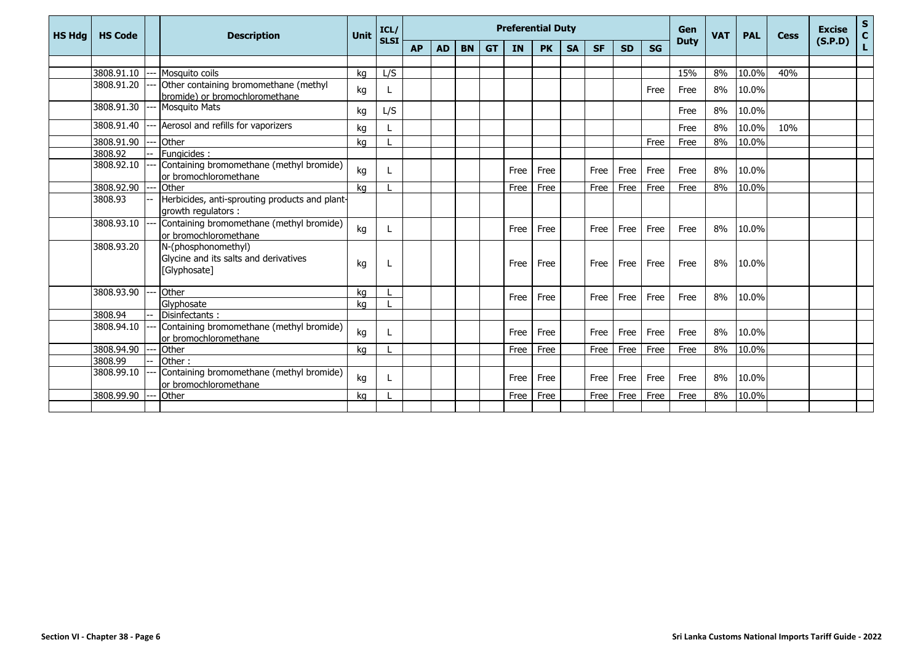| <b>HS Hdg</b> | <b>HS Code</b> | <b>Description</b>                                                           | Unit | ICL/<br><b>SLSI</b> |           |           |           |           | <b>Preferential Duty</b> |           |           |           |           |           | Gen         | <b>VAT</b> | <b>PAL</b> | Cess | <b>Excise</b> | ${\sf s}$<br>$\mathbf{C}$ |
|---------------|----------------|------------------------------------------------------------------------------|------|---------------------|-----------|-----------|-----------|-----------|--------------------------|-----------|-----------|-----------|-----------|-----------|-------------|------------|------------|------|---------------|---------------------------|
|               |                |                                                                              |      |                     | <b>AP</b> | <b>AD</b> | <b>BN</b> | <b>GT</b> | IN                       | <b>PK</b> | <b>SA</b> | <b>SF</b> | <b>SD</b> | <b>SG</b> | <b>Duty</b> |            |            |      | (S.P.D)       | Ĺ                         |
|               |                |                                                                              |      |                     |           |           |           |           |                          |           |           |           |           |           |             |            |            |      |               |                           |
|               | 3808.91.10     | Mosquito coils                                                               | ka   | L/S                 |           |           |           |           |                          |           |           |           |           |           | 15%         | 8%         | 10.0%      | 40%  |               |                           |
|               | 3808.91.20     | Other containing bromomethane (methyl<br>bromide) or bromochloromethane      | kg   |                     |           |           |           |           |                          |           |           |           |           | Free      | Free        | 8%         | 10.0%      |      |               |                           |
|               | 3808.91.30     | <b>Mosquito Mats</b>                                                         | kg   | L/S                 |           |           |           |           |                          |           |           |           |           |           | Free        | 8%         | 10.0%      |      |               |                           |
|               | 3808.91.40     | Aerosol and refills for vaporizers                                           | kg   |                     |           |           |           |           |                          |           |           |           |           |           | Free        | 8%         | 10.0%      | 10%  |               |                           |
|               | 3808.91.90     | Other                                                                        | kg   |                     |           |           |           |           |                          |           |           |           |           | Free      | Free        | 8%         | 10.0%      |      |               |                           |
|               | 3808.92        | Fungicides:                                                                  |      |                     |           |           |           |           |                          |           |           |           |           |           |             |            |            |      |               |                           |
|               | 3808.92.10     | Containing bromomethane (methyl bromide)<br>or bromochloromethane            | kg   |                     |           |           |           |           | Free                     | Free      |           | Free      | Free      | Free      | Free        | 8%         | 10.0%      |      |               |                           |
|               | 3808.92.90     | Other                                                                        | ka   |                     |           |           |           |           | Free                     | Free      |           | Free      | Free      | Free      | Free        | 8%         | 10.0%      |      |               |                           |
|               | 3808.93        | Herbicides, anti-sprouting products and plant-<br>growth regulators :        |      |                     |           |           |           |           |                          |           |           |           |           |           |             |            |            |      |               |                           |
|               | 3808.93.10     | Containing bromomethane (methyl bromide)<br>or bromochloromethane            | kg   |                     |           |           |           |           | Free                     | Free      |           | Free      | Free      | Free      | Free        | 8%         | 10.0%      |      |               |                           |
|               | 3808.93.20     | N-(phosphonomethyl)<br>Glycine and its salts and derivatives<br>[Glyphosate] | kg   |                     |           |           |           |           | Free                     | Free      |           | Free      | Free      | Free      | Free        | 8%         | 10.0%      |      |               |                           |
|               | 3808.93.90     | Other                                                                        | kg   |                     |           |           |           |           |                          |           |           |           |           |           |             |            |            |      |               |                           |
|               |                | Glyphosate                                                                   | kq   |                     |           |           |           |           | Free                     | Free      |           | Free      | Free      | Free      | Free        | 8%         | 10.0%      |      |               |                           |
|               | 3808.94        | Disinfectants:                                                               |      |                     |           |           |           |           |                          |           |           |           |           |           |             |            |            |      |               |                           |
|               | 3808.94.10     | Containing bromomethane (methyl bromide)<br>or bromochloromethane            | kg   |                     |           |           |           |           | Free                     | Free      |           | Free      | Free      | Free      | Free        | 8%         | 10.0%      |      |               |                           |
|               | 3808.94.90     | Other                                                                        | ka   |                     |           |           |           |           | Free                     | Free      |           | Free      | Free      | Free      | Free        | 8%         | 10.0%      |      |               |                           |
|               | 3808.99        | Other:                                                                       |      |                     |           |           |           |           |                          |           |           |           |           |           |             |            |            |      |               |                           |
|               | 3808.99.10     | Containing bromomethane (methyl bromide)<br>or bromochloromethane            | kg   |                     |           |           |           |           | Free                     | Free      |           | Free      | Free      | Free      | Free        | 8%         | 10.0%      |      |               |                           |
|               | 3808.99.90     | Other                                                                        | kq   |                     |           |           |           |           | Free                     | Free      |           | Free      | Free      | Free      | Free        | 8%         | 10.0%      |      |               |                           |
|               |                |                                                                              |      |                     |           |           |           |           |                          |           |           |           |           |           |             |            |            |      |               |                           |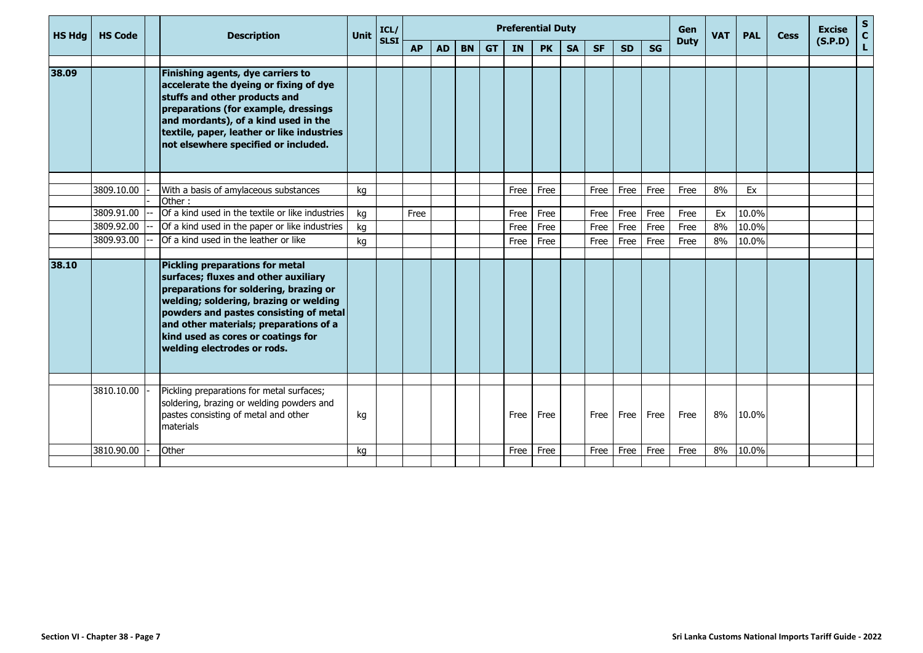| <b>HS Hdg</b> | <b>HS Code</b> | <b>Description</b>                                                                                                                                                                                                                                                                                                   | <b>Unit</b> | ICL/<br><b>SLSI</b> |           |           |           |           | <b>Preferential Duty</b> |           |           |           |           |           | Gen<br><b>Duty</b> | <b>VAT</b> | <b>PAL</b> | <b>Cess</b> | <b>Excise</b> | $rac{S}{C}$ |
|---------------|----------------|----------------------------------------------------------------------------------------------------------------------------------------------------------------------------------------------------------------------------------------------------------------------------------------------------------------------|-------------|---------------------|-----------|-----------|-----------|-----------|--------------------------|-----------|-----------|-----------|-----------|-----------|--------------------|------------|------------|-------------|---------------|-------------|
|               |                |                                                                                                                                                                                                                                                                                                                      |             |                     | <b>AP</b> | <b>AD</b> | <b>BN</b> | <b>GT</b> | IN                       | <b>PK</b> | <b>SA</b> | <b>SF</b> | <b>SD</b> | <b>SG</b> |                    |            |            |             | (S.P.D)       | Ĺ.          |
|               |                |                                                                                                                                                                                                                                                                                                                      |             |                     |           |           |           |           |                          |           |           |           |           |           |                    |            |            |             |               |             |
| 38.09         |                | Finishing agents, dye carriers to<br>accelerate the dyeing or fixing of dye<br>stuffs and other products and<br>preparations (for example, dressings<br>and mordants), of a kind used in the<br>textile, paper, leather or like industries<br>not elsewhere specified or included.                                   |             |                     |           |           |           |           |                          |           |           |           |           |           |                    |            |            |             |               |             |
|               |                |                                                                                                                                                                                                                                                                                                                      |             |                     |           |           |           |           |                          |           |           |           |           |           |                    |            |            |             |               |             |
|               | 3809.10.00     | With a basis of amylaceous substances                                                                                                                                                                                                                                                                                | ka          |                     |           |           |           |           | Free                     | Free      |           | Free      | Free      | Free      | Free               | 8%         | Ex         |             |               |             |
|               | 3809.91.00     | Other:<br>Of a kind used in the textile or like industries                                                                                                                                                                                                                                                           | kg          |                     | Free      |           |           |           | Free                     | Free      |           | Free      | Free      | Free      | Free               | Ex         | 10.0%      |             |               |             |
|               | 3809.92.00     | Of a kind used in the paper or like industries                                                                                                                                                                                                                                                                       | kg          |                     |           |           |           |           | Free                     | Free      |           | Free      | Free      | Free      | Free               | 8%         | 10.0%      |             |               |             |
|               | 3809.93.00     | Of a kind used in the leather or like                                                                                                                                                                                                                                                                                | kg          |                     |           |           |           |           | Free                     | Free      |           | Free      | Free      | Free      | Free               | 8%         | 10.0%      |             |               |             |
|               |                |                                                                                                                                                                                                                                                                                                                      |             |                     |           |           |           |           |                          |           |           |           |           |           |                    |            |            |             |               |             |
| 38.10         |                | Pickling preparations for metal<br>surfaces; fluxes and other auxiliary<br>preparations for soldering, brazing or<br>welding; soldering, brazing or welding<br>powders and pastes consisting of metal<br>and other materials; preparations of a<br>kind used as cores or coatings for<br>welding electrodes or rods. |             |                     |           |           |           |           |                          |           |           |           |           |           |                    |            |            |             |               |             |
|               |                |                                                                                                                                                                                                                                                                                                                      |             |                     |           |           |           |           |                          |           |           |           |           |           |                    |            |            |             |               |             |
|               | 3810.10.00     | Pickling preparations for metal surfaces;<br>soldering, brazing or welding powders and<br>pastes consisting of metal and other<br>materials                                                                                                                                                                          | kg          |                     |           |           |           |           | Free                     | Free      |           | Free      | Free      | Free      | Free               | 8%         | 10.0%      |             |               |             |
|               | 3810.90.00     | Other                                                                                                                                                                                                                                                                                                                | kg          |                     |           |           |           |           | Free                     | Free      |           | Free      | Free      | Free      | Free               | 8%         | $10.0\%$   |             |               |             |
|               |                |                                                                                                                                                                                                                                                                                                                      |             |                     |           |           |           |           |                          |           |           |           |           |           |                    |            |            |             |               |             |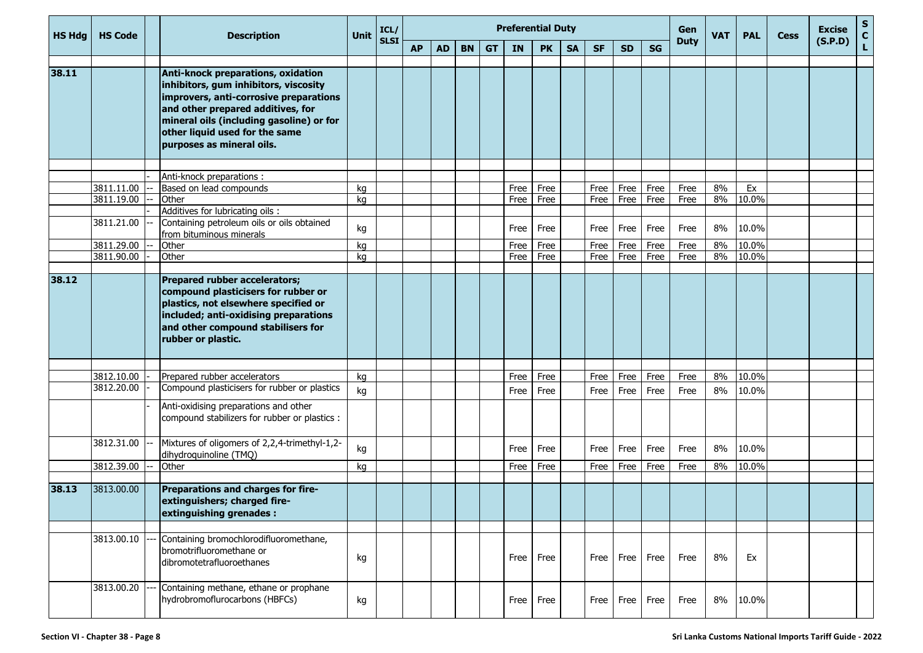| <b>HS Hdg</b> | <b>HS Code</b>           | <b>Description</b>                                                                                                                                                                                                                                                    | Unit | ICL/        |           |           |           |           |           | <b>Preferential Duty</b> |           |           |                   |           | Gen         | <b>VAT</b> | <b>PAL</b> | <b>Cess</b> | <b>Excise</b> | ${\sf s}$<br>$\mathbf{C}$ |
|---------------|--------------------------|-----------------------------------------------------------------------------------------------------------------------------------------------------------------------------------------------------------------------------------------------------------------------|------|-------------|-----------|-----------|-----------|-----------|-----------|--------------------------|-----------|-----------|-------------------|-----------|-------------|------------|------------|-------------|---------------|---------------------------|
|               |                          |                                                                                                                                                                                                                                                                       |      | <b>SLSI</b> | <b>AP</b> | <b>AD</b> | <b>BN</b> | <b>GT</b> | <b>IN</b> | <b>PK</b>                | <b>SA</b> | <b>SF</b> | <b>SD</b>         | <b>SG</b> | <b>Duty</b> |            |            |             | (S.P.D)       | L                         |
| 38.11         |                          | Anti-knock preparations, oxidation<br>inhibitors, gum inhibitors, viscosity<br>improvers, anti-corrosive preparations<br>and other prepared additives, for<br>mineral oils (including gasoline) or for<br>other liquid used for the same<br>purposes as mineral oils. |      |             |           |           |           |           |           |                          |           |           |                   |           |             |            |            |             |               |                           |
|               |                          | Anti-knock preparations :                                                                                                                                                                                                                                             |      |             |           |           |           |           |           |                          |           |           |                   |           |             |            |            |             |               |                           |
|               | 3811.11.00               | Based on lead compounds                                                                                                                                                                                                                                               | kg   |             |           |           |           |           | Free      | Free                     |           | Free      | Free              | Free      | Free        | 8%         | Ex         |             |               |                           |
|               | 3811.19.00               | Other                                                                                                                                                                                                                                                                 | kg   |             |           |           |           |           | Free      | Free                     |           | Free      | Free <sup>1</sup> | Free      | Free        | 8%         | 10.0%      |             |               |                           |
|               |                          | Additives for lubricating oils :                                                                                                                                                                                                                                      |      |             |           |           |           |           |           |                          |           |           |                   |           |             |            |            |             |               |                           |
|               | 3811.21.00               | Containing petroleum oils or oils obtained                                                                                                                                                                                                                            | kg   |             |           |           |           |           | Free      | Free                     |           | Free      | Free              | Free      | Free        | 8%         | 10.0%      |             |               |                           |
|               |                          | from bituminous minerals                                                                                                                                                                                                                                              |      |             |           |           |           |           |           |                          |           |           |                   |           |             |            |            |             |               |                           |
|               | 3811.29.00               | Other                                                                                                                                                                                                                                                                 | kg   |             |           |           |           |           | Free      | Free                     |           | Free      | Free              | Free      | Free        | 8%         | 10.0%      |             |               |                           |
|               | 3811.90.00               | Other                                                                                                                                                                                                                                                                 | kg   |             |           |           |           |           | Free      | Free                     |           | Free      | Free              | Free      | Free        | 8%         | 10.0%      |             |               |                           |
| 38.12         |                          | Prepared rubber accelerators;<br>compound plasticisers for rubber or<br>plastics, not elsewhere specified or<br>included; anti-oxidising preparations<br>and other compound stabilisers for<br>rubber or plastic.                                                     |      |             |           |           |           |           |           |                          |           |           |                   |           |             |            |            |             |               |                           |
|               |                          |                                                                                                                                                                                                                                                                       |      |             |           |           |           |           |           |                          |           |           |                   |           |             |            |            |             |               |                           |
|               | 3812.10.00<br>3812.20.00 | Prepared rubber accelerators<br>Compound plasticisers for rubber or plastics                                                                                                                                                                                          | kg   |             |           |           |           |           | Free      | Free                     |           | Free      | Free              | Free      | Free        | 8%         | 10.0%      |             |               |                           |
|               |                          |                                                                                                                                                                                                                                                                       | kg   |             |           |           |           |           | Free      | Free                     |           | Free      | Free              | Free      | Free        | 8%         | 10.0%      |             |               |                           |
|               |                          | Anti-oxidising preparations and other<br>compound stabilizers for rubber or plastics :                                                                                                                                                                                |      |             |           |           |           |           |           |                          |           |           |                   |           |             |            |            |             |               |                           |
|               | 3812.31.00               | Mixtures of oligomers of 2,2,4-trimethyl-1,2-<br>dihydroquinoline (TMQ)                                                                                                                                                                                               | kg   |             |           |           |           |           | Free      | Free                     |           | Free      | Free              | Free      | Free        | 8%         | 10.0%      |             |               |                           |
|               | 3812.39.00               | Other                                                                                                                                                                                                                                                                 | kg   |             |           |           |           |           | Free      | Free                     |           | Free      | Free              | Free      | Free        | 8%         | 10.0%      |             |               |                           |
|               |                          |                                                                                                                                                                                                                                                                       |      |             |           |           |           |           |           |                          |           |           |                   |           |             |            |            |             |               |                           |
| 38.13         | 3813.00.00               | Preparations and charges for fire-<br>extinguishers; charged fire-<br>extinguishing grenades :                                                                                                                                                                        |      |             |           |           |           |           |           |                          |           |           |                   |           |             |            |            |             |               |                           |
|               | 3813.00.10               | Containing bromochlorodifluoromethane,<br>bromotrifluoromethane or<br>dibromotetrafluoroethanes                                                                                                                                                                       | kg   |             |           |           |           |           | Free      | Free                     |           |           | Free Free         | Free      | Free        | 8%         | Ex         |             |               |                           |
|               | 3813.00.20               | Containing methane, ethane or prophane<br>hydrobromoflurocarbons (HBFCs)                                                                                                                                                                                              | kg   |             |           |           |           |           | Free      | Free                     |           | Free      | Free              | Free      | Free        | 8%         | 10.0%      |             |               |                           |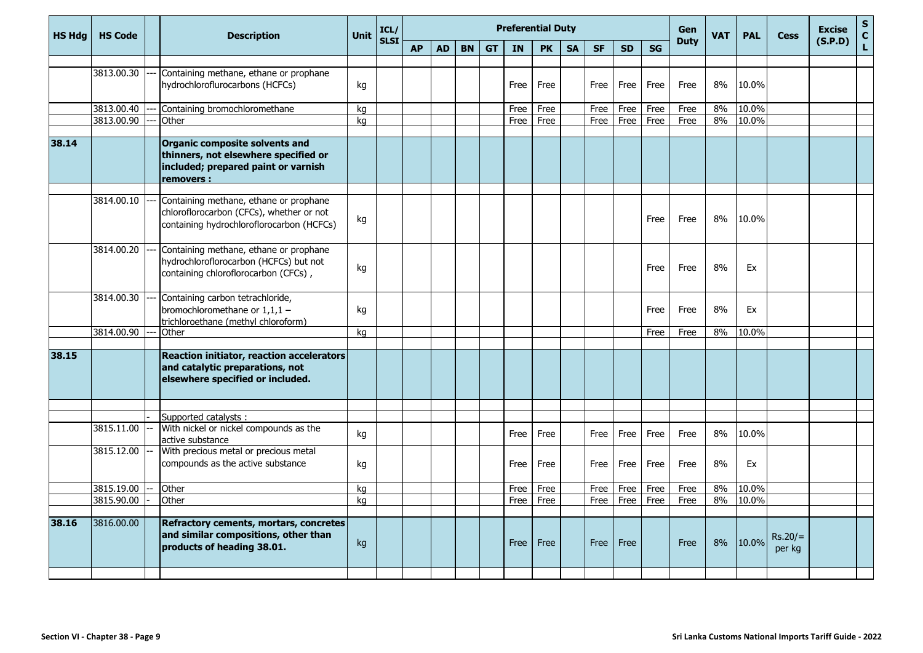| <b>HS Hdg</b> | <b>HS Code</b> | <b>Description</b>                                                                                                                 | <b>Unit</b> | ICL/        |           |           |           |           |           | <b>Preferential Duty</b> |           |           |           |      | Gen         | <b>VAT</b> | <b>PAL</b> | <b>Cess</b>         | <b>Excise</b> | S<br>C<br>L |
|---------------|----------------|------------------------------------------------------------------------------------------------------------------------------------|-------------|-------------|-----------|-----------|-----------|-----------|-----------|--------------------------|-----------|-----------|-----------|------|-------------|------------|------------|---------------------|---------------|-------------|
|               |                |                                                                                                                                    |             | <b>SLSI</b> | <b>AP</b> | <b>AD</b> | <b>BN</b> | <b>GT</b> | <b>IN</b> | <b>PK</b>                | <b>SA</b> | <b>SF</b> | <b>SD</b> | SG   | <b>Duty</b> |            |            |                     | (S.P.D)       |             |
|               |                |                                                                                                                                    |             |             |           |           |           |           |           |                          |           |           |           |      |             |            |            |                     |               |             |
|               | 3813.00.30     | Containing methane, ethane or prophane<br>hydrochloroflurocarbons (HCFCs)                                                          | kg          |             |           |           |           |           | Free      | Free                     |           | Free      | Free      | Free | Free        | 8%         | 10.0%      |                     |               |             |
|               | 3813.00.40     | Containing bromochloromethane                                                                                                      | kg          |             |           |           |           |           | Free      | Free                     |           | Free      | Free      | Free | Free        | 8%         | 10.0%      |                     |               |             |
|               | 3813.00.90     | Other                                                                                                                              | kg          |             |           |           |           |           | Free      | Free                     |           | Free      | Free      | Free | Free        | 8%         | 10.0%      |                     |               |             |
| 38.14         |                | <b>Organic composite solvents and</b><br>thinners, not elsewhere specified or<br>included; prepared paint or varnish<br>removers : |             |             |           |           |           |           |           |                          |           |           |           |      |             |            |            |                     |               |             |
|               | 3814.00.10     | Containing methane, ethane or prophane<br>chloroflorocarbon (CFCs), whether or not<br>containing hydrochloroflorocarbon (HCFCs)    | kg          |             |           |           |           |           |           |                          |           |           |           | Free | Free        | 8%         | 10.0%      |                     |               |             |
|               | 3814.00.20     | Containing methane, ethane or prophane<br>hydrochloroflorocarbon (HCFCs) but not<br>containing chloroflorocarbon (CFCs),           | kg          |             |           |           |           |           |           |                          |           |           |           | Free | Free        | 8%         | Ex         |                     |               |             |
|               | 3814.00.30     | Containing carbon tetrachloride,<br>bromochloromethane or $1,1,1$ -<br>trichloroethane (methyl chloroform)                         | kg          |             |           |           |           |           |           |                          |           |           |           | Free | Free        | 8%         | Ex         |                     |               |             |
|               | 3814.00.90     | Other                                                                                                                              | kg          |             |           |           |           |           |           |                          |           |           |           | Free | Free        | 8%         | 10.0%      |                     |               |             |
| 38.15         |                | <b>Reaction initiator, reaction accelerators</b><br>and catalytic preparations, not<br>elsewhere specified or included.            |             |             |           |           |           |           |           |                          |           |           |           |      |             |            |            |                     |               |             |
|               |                |                                                                                                                                    |             |             |           |           |           |           |           |                          |           |           |           |      |             |            |            |                     |               |             |
|               | 3815.11.00     | Supported catalysts:<br>With nickel or nickel compounds as the<br>active substance                                                 | kg          |             |           |           |           |           | Free      | Free                     |           | Free      | Free      | Free | Free        | 8%         | 10.0%      |                     |               |             |
|               | 3815.12.00     | With precious metal or precious metal<br>compounds as the active substance                                                         | kg          |             |           |           |           |           | Free      | Free                     |           | Free      | Free      | Free | Free        | 8%         | Ex         |                     |               |             |
|               | 3815.19.00     | Other                                                                                                                              | kg          |             |           |           |           |           | Free      | Free                     |           | Free      | Free      | Free | Free        | 8%         | 10.0%      |                     |               |             |
|               | 3815.90.00     | Other                                                                                                                              | kg          |             |           |           |           |           | Free I    | Free                     |           | Free      | Free      | Free | Free        | 8%         | 10.0%      |                     |               |             |
| 38.16         | 3816.00.00     | Refractory cements, mortars, concretes<br>and similar compositions, other than<br>products of heading 38.01.                       | kg          |             |           |           |           |           | Free      | Free                     |           | Free      | Free      |      | Free        | 8%         | 10.0%      | $Rs.20/=$<br>per kg |               |             |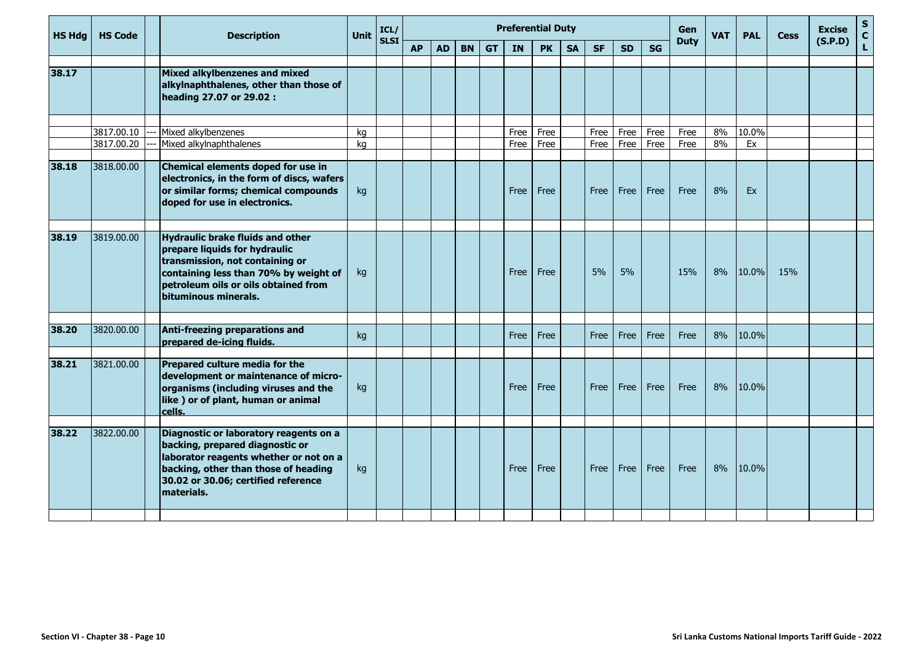| <b>HS Hdg</b> | <b>HS Code</b>           | <b>Description</b>                                                                                                                                                                                                   | Unit     | ICL/<br><b>SLSI</b> |           |           |           |           | <b>Preferential Duty</b> |              |           |              |              |              | Gen          | <b>VAT</b> | <b>PAL</b>  | <b>Cess</b> | <b>Excise</b> | S<br>$\mathbf{C}$ |
|---------------|--------------------------|----------------------------------------------------------------------------------------------------------------------------------------------------------------------------------------------------------------------|----------|---------------------|-----------|-----------|-----------|-----------|--------------------------|--------------|-----------|--------------|--------------|--------------|--------------|------------|-------------|-------------|---------------|-------------------|
|               |                          |                                                                                                                                                                                                                      |          |                     | <b>AP</b> | <b>AD</b> | <b>BN</b> | <b>GT</b> | <b>IN</b>                | <b>PK</b>    | <b>SA</b> | <b>SF</b>    | <b>SD</b>    | SG           | <b>Duty</b>  |            |             |             | (S.P.D)       | L                 |
| 38.17         |                          | Mixed alkylbenzenes and mixed<br>alkylnaphthalenes, other than those of<br>heading 27.07 or 29.02 :                                                                                                                  |          |                     |           |           |           |           |                          |              |           |              |              |              |              |            |             |             |               |                   |
|               |                          |                                                                                                                                                                                                                      |          |                     |           |           |           |           |                          |              |           |              |              |              |              |            |             |             |               |                   |
|               | 3817.00.10<br>3817.00.20 | Mixed alkylbenzenes<br>Mixed alkylnaphthalenes                                                                                                                                                                       | kg<br>ka |                     |           |           |           |           | Free<br>Free             | Free<br>Free |           | Free<br>Free | Free<br>Free | Free<br>Free | Free<br>Free | 8%<br>8%   | 10.0%<br>Ex |             |               |                   |
|               |                          |                                                                                                                                                                                                                      |          |                     |           |           |           |           |                          |              |           |              |              |              |              |            |             |             |               |                   |
| 38.18         | 3818.00.00               | Chemical elements doped for use in<br>electronics, in the form of discs, wafers<br>or similar forms; chemical compounds<br>doped for use in electronics.                                                             | kg       |                     |           |           |           |           | Free                     | Free         |           | Free         | Free         | Free         | Free         | 8%         | Ex          |             |               |                   |
| 38.19         | 3819.00.00               | <b>Hydraulic brake fluids and other</b><br>prepare liquids for hydraulic<br>transmission, not containing or<br>containing less than 70% by weight of<br>petroleum oils or oils obtained from<br>bituminous minerals. | kg       |                     |           |           |           |           | Free                     | Free         |           | 5%           | 5%           |              | 15%          | 8%         | 10.0%       | 15%         |               |                   |
|               |                          |                                                                                                                                                                                                                      |          |                     |           |           |           |           |                          |              |           |              |              |              |              |            |             |             |               |                   |
| 38.20         | 3820.00.00               | Anti-freezing preparations and<br>prepared de-icing fluids.                                                                                                                                                          | kg       |                     |           |           |           |           | Free                     | Free         |           | Free         | Free         | Free         | Free         | 8%         | 10.0%       |             |               |                   |
| 38.21         | 3821.00.00               | Prepared culture media for the<br>development or maintenance of micro-<br>organisms (including viruses and the<br>like) or of plant, human or animal<br>cells.                                                       | kg       |                     |           |           |           |           | Free                     | Free         |           | Free         | Free         | Free         | Free         | 8%         | 10.0%       |             |               |                   |
| 38.22         | 3822.00.00               | Diagnostic or laboratory reagents on a<br>backing, prepared diagnostic or<br>laborator reagents whether or not on a<br>backing, other than those of heading<br>30.02 or 30.06; certified reference<br>materials.     | kg       |                     |           |           |           |           | Free                     | Free         |           | Free         | Free         | Free         | Free         | 8%         | 10.0%       |             |               |                   |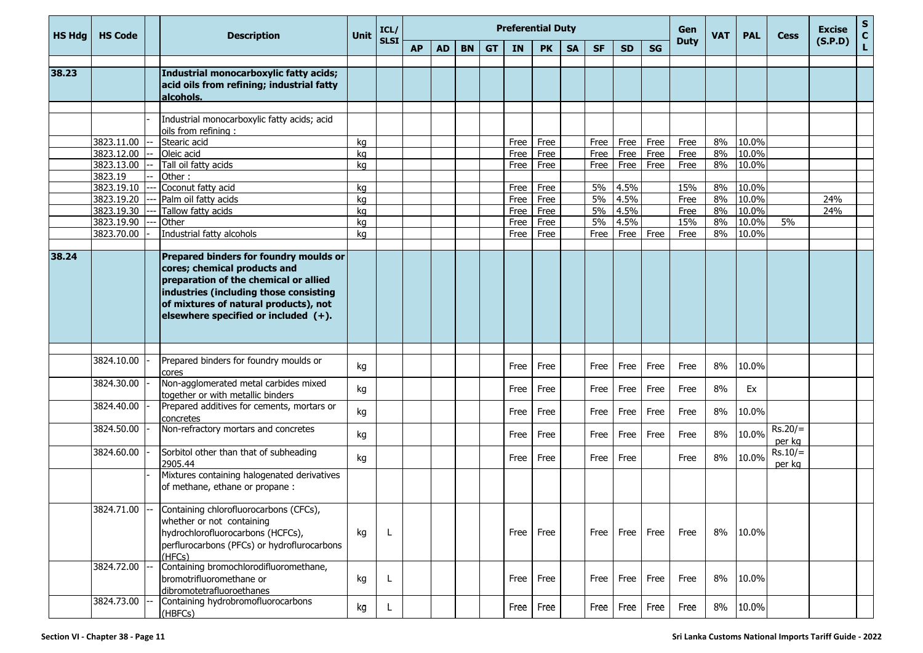| <b>HS Hdg</b> | <b>HS Code</b> | <b>Description</b>                                                                                                                                                                                                                            | Unit | ICL/        |           |           |           |           |      | <b>Preferential Duty</b> |           |           |           |           | Gen         | <b>VAT</b> | <b>PAL</b> | <b>Cess</b>         | <b>Excise</b> | ${\sf s}$<br>$\mathbf{C}$ |
|---------------|----------------|-----------------------------------------------------------------------------------------------------------------------------------------------------------------------------------------------------------------------------------------------|------|-------------|-----------|-----------|-----------|-----------|------|--------------------------|-----------|-----------|-----------|-----------|-------------|------------|------------|---------------------|---------------|---------------------------|
|               |                |                                                                                                                                                                                                                                               |      | <b>SLSI</b> | <b>AP</b> | <b>AD</b> | <b>BN</b> | <b>GT</b> | IN   | <b>PK</b>                | <b>SA</b> | <b>SF</b> | <b>SD</b> | <b>SG</b> | <b>Duty</b> |            |            |                     | (S.P.D)       | L                         |
| 38.23         |                | Industrial monocarboxylic fatty acids;<br>acid oils from refining; industrial fatty<br>alcohols.                                                                                                                                              |      |             |           |           |           |           |      |                          |           |           |           |           |             |            |            |                     |               |                           |
|               |                | Industrial monocarboxylic fatty acids; acid<br>oils from refining:                                                                                                                                                                            |      |             |           |           |           |           |      |                          |           |           |           |           |             |            |            |                     |               |                           |
|               | 3823.11.00     | Stearic acid                                                                                                                                                                                                                                  | kg   |             |           |           |           |           | Free | Free                     |           | Free      | Free      | Free      | Free        | 8%         | 10.0%      |                     |               |                           |
|               | 3823.12.00     | Oleic acid                                                                                                                                                                                                                                    | kg   |             |           |           |           |           | Free | Free                     |           | Free      | Free      | Free      | Free        | 8%         | 10.0%      |                     |               |                           |
|               | 3823.13.00     | Tall oil fatty acids                                                                                                                                                                                                                          | kg   |             |           |           |           |           | Free | Free                     |           | Free      | Free      | Free      | Free        | 8%         | 10.0%      |                     |               |                           |
|               | 3823.19        | Other:                                                                                                                                                                                                                                        |      |             |           |           |           |           |      |                          |           |           |           |           |             |            |            |                     |               |                           |
|               | 3823.19.10     | Coconut fatty acid                                                                                                                                                                                                                            | kg   |             |           |           |           |           | Free | Free                     |           | 5%        | 4.5%      |           | 15%         | 8%         | 10.0%      |                     |               |                           |
|               | 3823.19.20     | Palm oil fatty acids                                                                                                                                                                                                                          | kg   |             |           |           |           |           | Free | Free                     |           | 5%        | 4.5%      |           | Free        | 8%         | 10.0%      |                     | 24%           |                           |
|               | 3823.19.30     | Tallow fatty acids                                                                                                                                                                                                                            | kg   |             |           |           |           |           | Free | Free                     |           | 5%        | 4.5%      |           | Free        | 8%         | 10.0%      |                     | 24%           |                           |
|               | 3823.19.90     | Other                                                                                                                                                                                                                                         | kg   |             |           |           |           |           | Free | Free                     |           | 5%        | 4.5%      |           | 15%         | 8%         | 10.0%      | 5%                  |               |                           |
|               | 3823.70.00     | Industrial fatty alcohols                                                                                                                                                                                                                     | ka   |             |           |           |           |           | Free | Free                     |           | Free      | Free      | Free      | Free        | 8%         | 10.0%      |                     |               |                           |
| 38.24         |                | Prepared binders for foundry moulds or<br>cores; chemical products and<br>preparation of the chemical or allied<br>industries (including those consisting<br>of mixtures of natural products), not<br>elsewhere specified or included $(+)$ . |      |             |           |           |           |           |      |                          |           |           |           |           |             |            |            |                     |               |                           |
|               | 3824.10.00     | Prepared binders for foundry moulds or                                                                                                                                                                                                        | kg   |             |           |           |           |           | Free | Free                     |           | Free      | Free      | Free      | Free        | 8%         | 10.0%      |                     |               |                           |
|               | 3824.30.00     | cores<br>Non-agglomerated metal carbides mixed<br>together or with metallic binders                                                                                                                                                           | kg   |             |           |           |           |           | Free | Free                     |           | Free      | Free      | Free      | Free        | 8%         | Ex         |                     |               |                           |
|               | 3824.40.00     | Prepared additives for cements, mortars or<br>concretes                                                                                                                                                                                       | kg   |             |           |           |           |           | Free | Free                     |           | Free      | Free      | Free      | Free        | 8%         | 10.0%      |                     |               |                           |
|               | 3824.50.00     | Non-refractory mortars and concretes                                                                                                                                                                                                          | kg   |             |           |           |           |           | Free | Free                     |           | Free      | Free      | Free      | Free        | 8%         | 10.0%      | $Rs.20/=$<br>per kg |               |                           |
|               | 3824.60.00     | Sorbitol other than that of subheading<br>2905.44                                                                                                                                                                                             | kq   |             |           |           |           |           | Free | Free                     |           | Free      | Free      |           | Free        | 8%         | 10.0%      | $Rs.10/=$<br>per kg |               |                           |
|               |                | Mixtures containing halogenated derivatives<br>of methane, ethane or propane :                                                                                                                                                                |      |             |           |           |           |           |      |                          |           |           |           |           |             |            |            |                     |               |                           |
|               | 3824.71.00 -   | Containing chlorofluorocarbons (CFCs),<br>whether or not containing<br>hydrochlorofluorocarbons (HCFCs),<br>perflurocarbons (PFCs) or hydroflurocarbons<br>(HFCs)                                                                             | kg   | L           |           |           |           |           | Free | Free                     |           | Free I    | Free      | Free      | Free        | 8%         | 10.0%      |                     |               |                           |
|               | 3824.72.00     | Containing bromochlorodifluoromethane,<br>bromotrifluoromethane or<br>dibromotetrafluoroethanes                                                                                                                                               | kg   | L           |           |           |           |           | Free | Free                     |           | Free      | Free      | Free      | Free        | 8%         | 10.0%      |                     |               |                           |
|               | 3824.73.00     | Containing hydrobromofluorocarbons<br>(HBFCs)                                                                                                                                                                                                 | kg   | L           |           |           |           |           | Free | Free                     |           | Free      | Free      | Free      | Free        | 8%         | 10.0%      |                     |               |                           |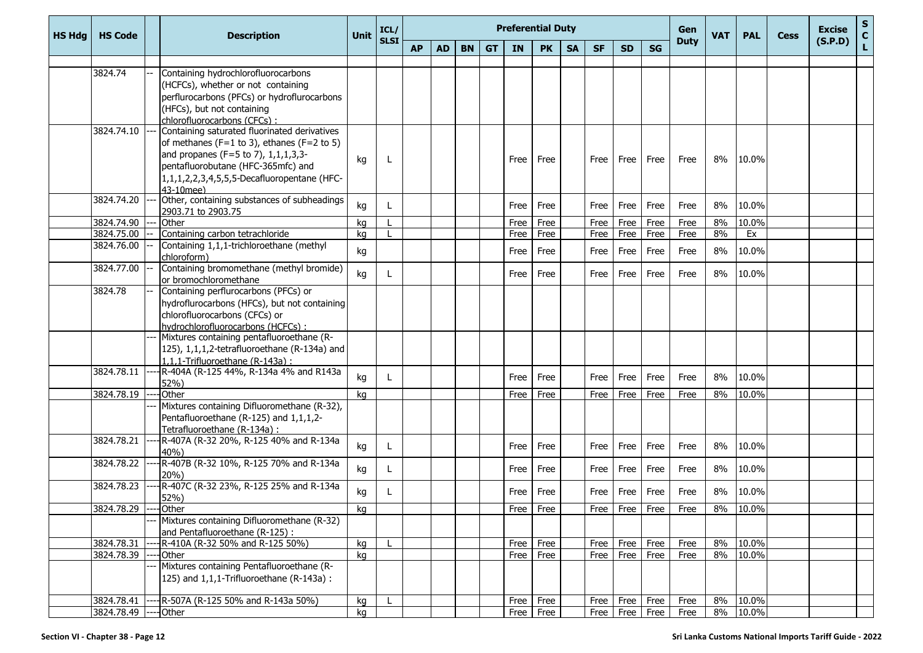| <b>HS Hdg</b> | <b>HS Code</b>           | <b>Description</b>                                                                                                                                                                                                                                                    | <b>Unit</b> | ICL/        |           |           |           |           | <b>Preferential Duty</b> |                     |           |             |           |                        | Gen         | <b>VAT</b> | <b>PAL</b>        | <b>Cess</b> | <b>Excise</b> | $\mathbf{s}$<br>$\mathbf{C}$ |
|---------------|--------------------------|-----------------------------------------------------------------------------------------------------------------------------------------------------------------------------------------------------------------------------------------------------------------------|-------------|-------------|-----------|-----------|-----------|-----------|--------------------------|---------------------|-----------|-------------|-----------|------------------------|-------------|------------|-------------------|-------------|---------------|------------------------------|
|               |                          |                                                                                                                                                                                                                                                                       |             | <b>SLSI</b> | <b>AP</b> | <b>AD</b> | <b>BN</b> | <b>GT</b> | IN                       | <b>PK</b>           | <b>SA</b> | <b>SF</b>   | <b>SD</b> | <b>SG</b>              | <b>Duty</b> |            |                   |             | (S.P.D)       | L.                           |
|               | 3824.74                  | Containing hydrochlorofluorocarbons<br>(HCFCs), whether or not containing<br>perflurocarbons (PFCs) or hydroflurocarbons<br>(HFCs), but not containing                                                                                                                |             |             |           |           |           |           |                          |                     |           |             |           |                        |             |            |                   |             |               |                              |
|               | 3824.74.10               | chlorofluorocarbons (CFCs):<br>Containing saturated fluorinated derivatives<br>of methanes (F=1 to 3), ethanes (F=2 to 5)<br>and propanes (F=5 to 7), $1,1,1,3,3$ -<br>pentafluorobutane (HFC-365mfc) and<br>1,1,1,2,2,3,4,5,5,5-Decafluoropentane (HFC-<br>43-10mee) | kg          | L           |           |           |           |           | Free                     | Free                |           | Free        | Free      | Free                   | Free        | 8%         | 10.0%             |             |               |                              |
|               | 3824.74.20               | Other, containing substances of subheadings<br>2903.71 to 2903.75                                                                                                                                                                                                     | kg          | L           |           |           |           |           | Free                     | Free                |           | Free        | Free      | Free                   | Free        | 8%         | 10.0%             |             |               |                              |
|               | 3824.74.90               | Other                                                                                                                                                                                                                                                                 | kg          |             |           |           |           |           | Free                     | Free                |           | Free        | Free      | Free                   | Free        | 8%         | 10.0%             |             |               |                              |
|               | 3824.75.00               | Containing carbon tetrachloride                                                                                                                                                                                                                                       | kg          |             |           |           |           |           | Free                     | Free                |           | Free        | Free      | Free                   | Free        | 8%         | Ex                |             |               |                              |
|               | 3824.76.00               | Containing 1,1,1-trichloroethane (methyl<br>chloroform)                                                                                                                                                                                                               | kg          |             |           |           |           |           | Free                     | Free                |           | Free        | Free      | Free                   | Free        | 8%         | 10.0%             |             |               |                              |
|               | 3824.77.00               | Containing bromomethane (methyl bromide)<br>or bromochloromethane                                                                                                                                                                                                     | kg          | L           |           |           |           |           | Free                     | Free                |           | Free        | Free      | Free                   | Free        | 8%         | 10.0%             |             |               |                              |
|               | 3824.78                  | Containing perflurocarbons (PFCs) or<br>hydroflurocarbons (HFCs), but not containing<br>chlorofluorocarbons (CFCs) or<br>hydrochlorofluorocarbons (HCFCs):                                                                                                            |             |             |           |           |           |           |                          |                     |           |             |           |                        |             |            |                   |             |               |                              |
|               |                          | Mixtures containing pentafluoroethane (R-<br>125), 1,1,1,2-tetrafluoroethane (R-134a) and<br>1,1,1-Trifluoroethane (R-143a) :                                                                                                                                         |             |             |           |           |           |           |                          |                     |           |             |           |                        |             |            |                   |             |               |                              |
|               | 3824.78.11               | -R-404A (R-125 44%, R-134a 4% and R143a<br>52%)                                                                                                                                                                                                                       | kg          | L           |           |           |           |           | Free                     | Free                |           | Free        | Free      | Free                   | Free        | 8%         | 10.0%             |             |               |                              |
|               | 3824.78.19               | <b>Other</b>                                                                                                                                                                                                                                                          | kq          |             |           |           |           |           | Free                     | Free                |           | Free        | Free      | Free                   | Free        | 8%         | 10.0%             |             |               |                              |
|               |                          | Mixtures containing Difluoromethane (R-32),<br>Pentafluoroethane (R-125) and 1,1,1,2-<br>Tetrafluoroethane (R-134a) :                                                                                                                                                 |             |             |           |           |           |           |                          |                     |           |             |           |                        |             |            |                   |             |               |                              |
|               | 3824.78.21               | R-407A (R-32 20%, R-125 40% and R-134a<br>40%)                                                                                                                                                                                                                        | kg          | L           |           |           |           |           | Free                     | Free                |           | Free        | Free      | Free                   | Free        | 8%         | 10.0%             |             |               |                              |
|               | 3824.78.22               | R-407B (R-32 10%, R-125 70% and R-134a<br>20%)                                                                                                                                                                                                                        | kg          | L           |           |           |           |           | Free                     | Free                |           | Free        | Free      | Free                   | Free        | 8%         | 10.0%             |             |               |                              |
|               | 3824.78.23               | R-407C (R-32 23%, R-125 25% and R-134a<br>52%)                                                                                                                                                                                                                        | kg          |             |           |           |           |           | Free                     | Free                |           | Free        | Free      | Free                   | Free        | 8%         | 10.0%             |             |               |                              |
|               | 3824.78.29               | <b>Other</b>                                                                                                                                                                                                                                                          | kg          |             |           |           |           |           | Free                     | Free                |           | Free        | Free      | Free                   | Free        | 8%         | 10.0%             |             |               |                              |
|               |                          | Mixtures containing Difluoromethane (R-32)<br>and Pentafluoroethane (R-125):                                                                                                                                                                                          |             |             |           |           |           |           |                          |                     |           |             |           |                        |             |            |                   |             |               |                              |
|               | 3824.78.31               | $R-410A (R-32 50\% and R-125 50\%)$                                                                                                                                                                                                                                   | kg          |             |           |           |           |           | Free                     | Free                |           | <b>Free</b> | Free      | Free                   | Free        | 8%         | 10.0%             |             |               |                              |
|               | 3824.78.39               | -Other<br>Mixtures containing Pentafluoroethane (R-<br>$(125)$ and $1,1,1$ -Trifluoroethane (R-143a):                                                                                                                                                                 | kg          |             |           |           |           |           | Free                     | Free                |           | Free        | Free      | Free                   | Free        | 8%         | 10.0%             |             |               |                              |
|               |                          |                                                                                                                                                                                                                                                                       |             |             |           |           |           |           |                          |                     |           |             |           |                        |             |            |                   |             |               |                              |
|               | 3824.78.41<br>3824.78.49 | -R-507A (R-125 50% and R-143a 50%)<br>-lOther                                                                                                                                                                                                                         | kg          | L           |           |           |           |           | Free                     | Free<br>Free   Free |           | Free        | Free      | Free<br>Free Free Free | Free        | 8%         | 10.0%<br>8% 10.0% |             |               |                              |
|               |                          |                                                                                                                                                                                                                                                                       | kg          |             |           |           |           |           |                          |                     |           |             |           |                        | Free        |            |                   |             |               |                              |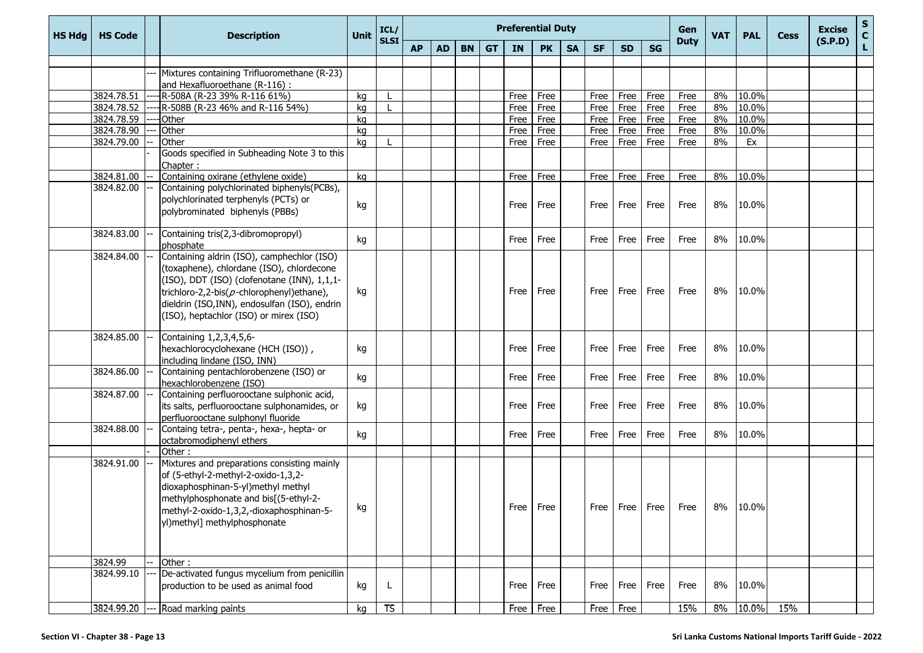| <b>HS Hdg</b> | <b>HS Code</b>           | <b>Description</b>                                                              | Unit     | ICL/        |           |           |           |           |              | <b>Preferential Duty</b> |           |              |              |              | Gen                            | <b>VAT</b> | <b>PAL</b>     | <b>Cess</b> | <b>Excise</b> | $S_{C}$     |
|---------------|--------------------------|---------------------------------------------------------------------------------|----------|-------------|-----------|-----------|-----------|-----------|--------------|--------------------------|-----------|--------------|--------------|--------------|--------------------------------|------------|----------------|-------------|---------------|-------------|
|               |                          |                                                                                 |          | <b>SLSI</b> | <b>AP</b> | <b>AD</b> | <b>BN</b> | <b>GT</b> | IN           | <b>PK</b>                | <b>SA</b> | <b>SF</b>    | <b>SD</b>    | <b>SG</b>    | <b>Duty</b>                    |            |                |             | (S.P.D)       | $\mathbf L$ |
|               |                          |                                                                                 |          |             |           |           |           |           |              |                          |           |              |              |              |                                |            |                |             |               |             |
|               |                          | Mixtures containing Trifluoromethane (R-23)                                     |          |             |           |           |           |           |              |                          |           |              |              |              |                                |            |                |             |               |             |
|               |                          | and Hexafluoroethane (R-116) :                                                  |          |             |           |           |           |           |              |                          |           |              |              |              |                                |            |                |             |               |             |
|               | 3824.78.51               | R-508A (R-23 39% R-116 61%)                                                     | kg       |             |           |           |           |           | Free         | Free                     |           | Free         | Free         | Free         | Free                           | 8%         | 10.0%<br>10.0% |             |               |             |
|               | 3824.78.52<br>3824.78.59 | R-508B (R-23 46% and R-116 54%)                                                 | kg       |             |           |           |           |           | Free         | Free                     |           | Free         | Free         | Free         | Free                           | 8%<br>8%   | 10.0%          |             |               |             |
|               | 3824.78.90               | Other<br>Other                                                                  | kg<br>kg |             |           |           |           |           | Free<br>Free | Free<br>Free             |           | Free<br>Free | Free<br>Free | Free<br>Free | Free<br>Free                   | 8%         | 10.0%          |             |               |             |
|               | 3824.79.00               | Other                                                                           | kg       |             |           |           |           |           | Free         | Free                     |           | Free         | Free         | Free         | Free                           | 8%         | Ex             |             |               |             |
|               |                          | Goods specified in Subheading Note 3 to this                                    |          |             |           |           |           |           |              |                          |           |              |              |              |                                |            |                |             |               |             |
|               |                          | Chapter:                                                                        |          |             |           |           |           |           |              |                          |           |              |              |              |                                |            |                |             |               |             |
|               | 3824.81.00               | Containing oxirane (ethylene oxide)                                             | kg       |             |           |           |           |           | Free         | Free                     |           | Free         | Free         | Free         | Free                           | 8%         | 10.0%          |             |               |             |
|               | 3824.82.00               | Containing polychlorinated biphenyls(PCBs),                                     |          |             |           |           |           |           |              |                          |           |              |              |              |                                |            |                |             |               |             |
|               |                          | polychlorinated terphenyls (PCTs) or                                            | kg       |             |           |           |           |           | Free         | Free                     |           | Free         | Free         | Free         | Free                           | 8%         | 10.0%          |             |               |             |
|               |                          | polybrominated biphenyls (PBBs)                                                 |          |             |           |           |           |           |              |                          |           |              |              |              |                                |            |                |             |               |             |
|               | 3824.83.00               | Containing tris(2,3-dibromopropyl)                                              |          |             |           |           |           |           |              |                          |           |              |              |              |                                |            |                |             |               |             |
|               |                          | phosphate                                                                       | kg       |             |           |           |           |           | Free I       | Free                     |           | Free         | Free         | Free         | Free                           | 8%         | 10.0%          |             |               |             |
|               | 3824.84.00               | Containing aldrin (ISO), camphechlor (ISO)                                      |          |             |           |           |           |           |              |                          |           |              |              |              |                                |            |                |             |               |             |
|               |                          | (toxaphene), chlordane (ISO), chlordecone                                       |          |             |           |           |           |           |              |                          |           |              |              |              |                                |            |                |             |               |             |
|               |                          | (ISO), DDT (ISO) (clofenotane (INN), 1,1,1-                                     |          |             |           |           |           |           |              |                          |           |              |              |              |                                |            |                |             |               |             |
|               |                          | trichloro-2,2-bis( $p$ -chlorophenyl)ethane),                                   | kg       |             |           |           |           |           | Free         | Free                     |           | Free         | Free         | Free         | Free                           | 8%         | 10.0%          |             |               |             |
|               |                          | dieldrin (ISO, INN), endosulfan (ISO), endrin                                   |          |             |           |           |           |           |              |                          |           |              |              |              |                                |            |                |             |               |             |
|               |                          | (ISO), heptachlor (ISO) or mirex (ISO)                                          |          |             |           |           |           |           |              |                          |           |              |              |              |                                |            |                |             |               |             |
|               | 3824.85.00               | Containing 1,2,3,4,5,6-                                                         |          |             |           |           |           |           |              |                          |           |              |              |              |                                |            |                |             |               |             |
|               |                          | hexachlorocyclohexane (HCH (ISO)),                                              | kg       |             |           |           |           |           | Free         | Free                     |           | Free         | Free         | Free         | Free                           | 8%         | 10.0%          |             |               |             |
|               |                          | including lindane (ISO, INN)                                                    |          |             |           |           |           |           |              |                          |           |              |              |              |                                |            |                |             |               |             |
|               | 3824.86.00               | Containing pentachlorobenzene (ISO) or                                          |          |             |           |           |           |           |              | Free                     |           |              |              |              | Free                           | 8%         | 10.0%          |             |               |             |
|               |                          | hexachlorobenzene (ISO)                                                         | kg       |             |           |           |           |           | Free         |                          |           | Free         | Free         | Free         |                                |            |                |             |               |             |
|               | 3824.87.00               | Containing perfluorooctane sulphonic acid,                                      |          |             |           |           |           |           |              |                          |           |              |              |              |                                |            |                |             |               |             |
|               |                          | its salts, perfluorooctane sulphonamides, or                                    | kg       |             |           |           |           |           | Free         | Free                     |           | Free         | Free         | Free         | Free                           | 8%         | 10.0%          |             |               |             |
|               | 3824.88.00               | perfluorooctane sulphonyl fluoride<br>Containg tetra-, penta-, hexa-, hepta- or |          |             |           |           |           |           |              |                          |           |              |              |              |                                |            |                |             |               |             |
|               |                          | octabromodiphenyl ethers                                                        | kg       |             |           |           |           |           | Free         | Free                     |           | Free         | Free         | Free         | Free                           | 8%         | 10.0%          |             |               |             |
|               |                          | Other:                                                                          |          |             |           |           |           |           |              |                          |           |              |              |              |                                |            |                |             |               |             |
|               | 3824.91.00               | Mixtures and preparations consisting mainly                                     |          |             |           |           |           |           |              |                          |           |              |              |              |                                |            |                |             |               |             |
|               |                          | of (5-ethyl-2-methyl-2-oxido-1,3,2-                                             |          |             |           |           |           |           |              |                          |           |              |              |              |                                |            |                |             |               |             |
|               |                          | dioxaphosphinan-5-yl)methyl methyl                                              |          |             |           |           |           |           |              |                          |           |              |              |              |                                |            |                |             |               |             |
|               |                          | methylphosphonate and bis[(5-ethyl-2-                                           |          |             |           |           |           |           |              |                          |           |              |              |              |                                |            |                |             |               |             |
|               |                          | methyl-2-oxido-1,3,2,-dioxaphosphinan-5-                                        | kg       |             |           |           |           |           | Free         | Free                     |           |              |              |              | Free   Free   Free   Free   8% |            | 10.0%          |             |               |             |
|               |                          | yl)methyl] methylphosphonate                                                    |          |             |           |           |           |           |              |                          |           |              |              |              |                                |            |                |             |               |             |
|               |                          |                                                                                 |          |             |           |           |           |           |              |                          |           |              |              |              |                                |            |                |             |               |             |
|               |                          |                                                                                 |          |             |           |           |           |           |              |                          |           |              |              |              |                                |            |                |             |               |             |
|               | 3824.99<br>3824.99.10    | Other:<br>De-activated fungus mycelium from penicillin                          |          |             |           |           |           |           |              |                          |           |              |              |              |                                |            |                |             |               |             |
|               |                          | production to be used as animal food                                            | kg       | L           |           |           |           |           |              | Free Free                |           | Free         |              | Free Free    | Free                           | 8%         | 10.0%          |             |               |             |
|               |                          |                                                                                 |          |             |           |           |           |           |              |                          |           |              |              |              |                                |            |                |             |               |             |
|               |                          | 3824.99.20 --- Road marking paints                                              | kg       | TS          |           |           |           |           |              | Free Free                |           | Free         | Free         |              | 15%                            | 8%         | 10.0%          | 15%         |               |             |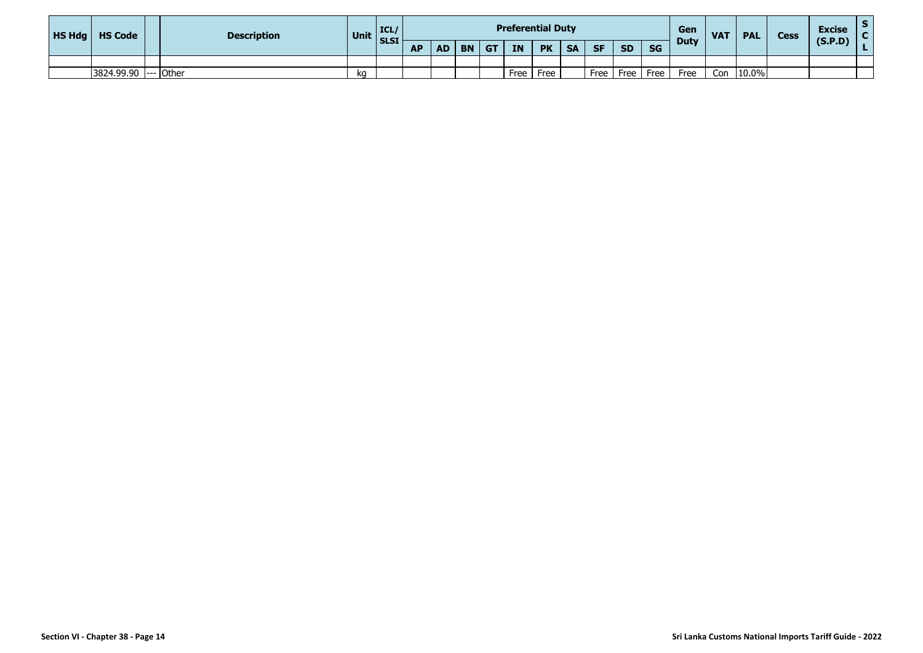| HS Hdg | <b>HS Code</b>       | <b>Description</b> | Unit | ICL<br><b>SLSI</b> |           |           |           |    | <b>Preferential Duty</b> |           |           |           |           |           | Gen<br><b>Duty</b> | <b>VAT</b> | <b>PAL</b> | <b>Cess</b> | <b>Excise</b><br>(S.P.D) |  |
|--------|----------------------|--------------------|------|--------------------|-----------|-----------|-----------|----|--------------------------|-----------|-----------|-----------|-----------|-----------|--------------------|------------|------------|-------------|--------------------------|--|
|        |                      |                    |      |                    | <b>AP</b> | <b>AD</b> | <b>BN</b> | GT | <b>IN</b>                | <b>PK</b> | <b>SA</b> | <b>SF</b> | <b>SD</b> | <b>SG</b> |                    |            |            |             |                          |  |
|        |                      |                    |      |                    |           |           |           |    |                          |           |           |           |           |           |                    |            |            |             |                          |  |
|        | 3824.99.90 --- Other |                    | kq   |                    |           |           |           |    | Free                     | Free      |           | Free      | Free      | Free      | Free               | Con        | 10.0%      |             |                          |  |